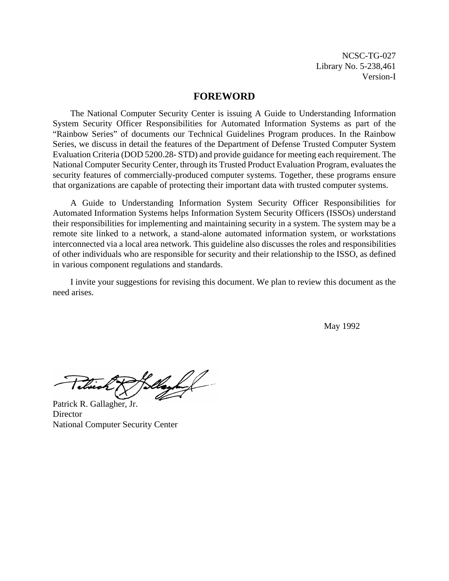NCSC-TG-027 Library No. 5-238,461 Version-I

#### **FOREWORD**

The National Computer Security Center is issuing A Guide to Understanding Information System Security Officer Responsibilities for Automated Information Systems as part of the "Rainbow Series" of documents our Technical Guidelines Program produces. In the Rainbow Series, we discuss in detail the features of the Department of Defense Trusted Computer System Evaluation Criteria (DOD 5200.28- STD) and provide guidance for meeting each requirement. The National Computer Security Center, through its Trusted Product Evaluation Program, evaluates the security features of commercially-produced computer systems. Together, these programs ensure that organizations are capable of protecting their important data with trusted computer systems.

A Guide to Understanding Information System Security Officer Responsibilities for Automated Information Systems helps Information System Security Officers (ISSOs) understand their responsibilities for implementing and maintaining security in a system. The system may be a remote site linked to a network, a stand-alone automated information system, or workstations interconnected via a local area network. This guideline also discusses the roles and responsibilities of other individuals who are responsible for security and their relationship to the ISSO, as defined in various component regulations and standards.

I invite your suggestions for revising this document. We plan to review this document as the need arises.

May 1992

llayhed Tilvich

Patrick R. Gallagher, Jr. **Director** National Computer Security Center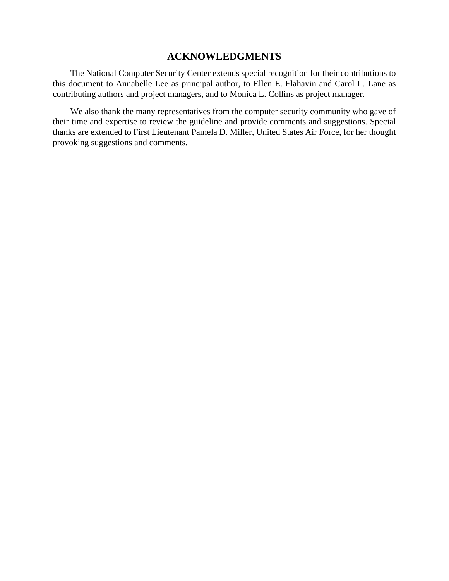# **ACKNOWLEDGMENTS**

The National Computer Security Center extends special recognition for their contributions to this document to Annabelle Lee as principal author, to Ellen E. Flahavin and Carol L. Lane as contributing authors and project managers, and to Monica L. Collins as project manager.

We also thank the many representatives from the computer security community who gave of their time and expertise to review the guideline and provide comments and suggestions. Special thanks are extended to First Lieutenant Pamela D. Miller, United States Air Force, for her thought provoking suggestions and comments.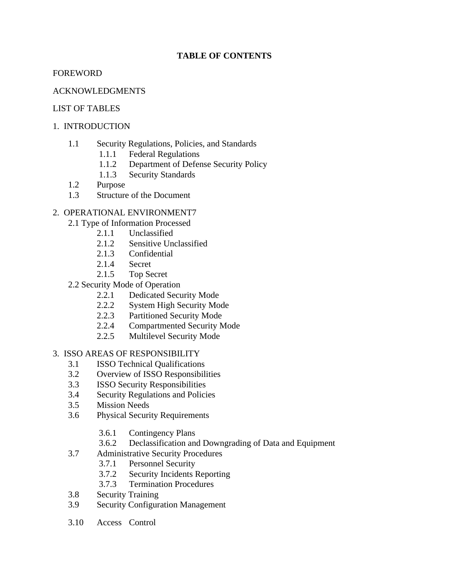# **TABLE OF CONTENTS**

# FOREWORD

# ACKNOWLEDGMENTS

# LIST OF TABLES

# 1. INTRODUCTION

- 1.1 Security Regulations, Policies, and Standards
	- 1.1.1 Federal Regulations
	- 1.1.2 Department of Defense Security Policy
	- 1.1.3 Security Standards
- 1.2 Purpose
- 1.3 Structure of the Document

# 2. OPERATIONAL ENVIRONMENT7

- 2.1 Type of Information Processed
	- 2.1.1 Unclassified
	- 2.1.2 Sensitive Unclassified
	- 2.1.3 Confidential
	- 2.1.4 Secret
	- 2.1.5 Top Secret
- 2.2 Security Mode of Operation
	- 2.2.1 Dedicated Security Mode
	- 2.2.2 System High Security Mode
	- 2.2.3 Partitioned Security Mode
	- 2.2.4 Compartmented Security Mode
	- 2.2.5 Multilevel Security Mode

3. ISSO AREAS OF RESPONSIBILITY

- 3.1 ISSO Technical Qualifications
- 3.2 Overview of ISSO Responsibilities
- 3.3 ISSO Security Responsibilities
- 3.4 Security Regulations and Policies
- 3.5 Mission Needs
- 3.6 Physical Security Requirements
	- 3.6.1 Contingency Plans
	- 3.6.2 Declassification and Downgrading of Data and Equipment
- 3.7 Administrative Security Procedures
	- 3.7.1 Personnel Security
	- 3.7.2 Security Incidents Reporting
	- 3.7.3 Termination Procedures
- 3.8 Security Training
- 3.9 Security Configuration Management
- 3.10 Access Control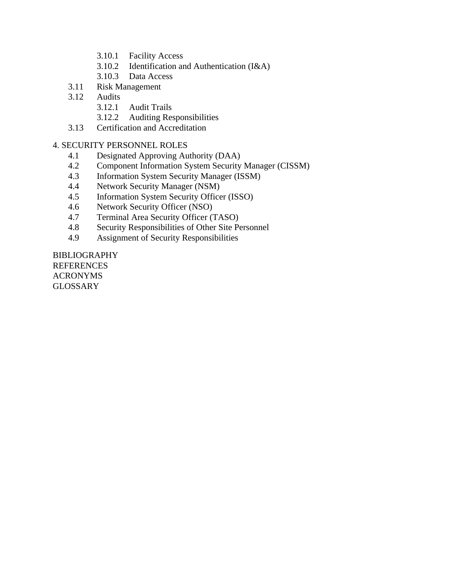- 3.10.1 Facility Access
- 3.10.2 Identification and Authentication (I&A)
- 3.10.3 Data Access
- 3.11 Risk Management
- 3.12 Audits
	- 3.12.1 Audit Trails
	- 3.12.2 Auditing Responsibilities
- 3.13 Certification and Accreditation

#### 4. SECURITY PERSONNEL ROLES

- 4.1 Designated Approving Authority (DAA)
- 4.2 Component Information System Security Manager (CISSM)
- 4.3 Information System Security Manager (ISSM)
- 4.4 Network Security Manager (NSM)
- 4.5 Information System Security Officer (ISSO)
- 4.6 Network Security Officer (NSO)
- 4.7 Terminal Area Security Officer (TASO)
- 4.8 Security Responsibilities of Other Site Personnel
- 4.9 Assignment of Security Responsibilities

BIBLIOGRAPHY REFERENCES ACRONYMS **GLOSSARY**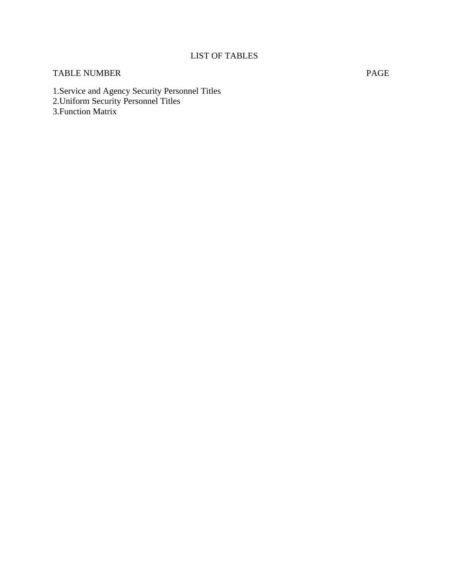# LIST OF TABLES

# TABLE NUMBER PAGE

1.Service and Agency Security Personnel Titles 2.Uniform Security Personnel Titles 3.Function Matrix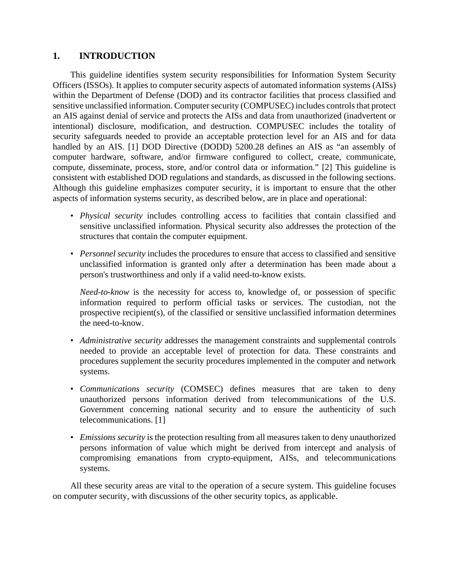# **1. INTRODUCTION**

This guideline identifies system security responsibilities for Information System Security Officers (ISSOs). It applies to computer security aspects of automated information systems (AISs) within the Department of Defense (DOD) and its contractor facilities that process classified and sensitive unclassified information. Computer security (COMPUSEC) includes controls that protect an AIS against denial of service and protects the AISs and data from unauthorized (inadvertent or intentional) disclosure, modification, and destruction. COMPUSEC includes the totality of security safeguards needed to provide an acceptable protection level for an AIS and for data handled by an AIS. [1] DOD Directive (DODD) 5200.28 defines an AIS as "an assembly of computer hardware, software, and/or firmware configured to collect, create, communicate, compute, disseminate, process, store, and/or control data or information." [2] This guideline is consistent with established DOD regulations and standards, as discussed in the following sections. Although this guideline emphasizes computer security, it is important to ensure that the other aspects of information systems security, as described below, are in place and operational:

- *Physical security* includes controlling access to facilities that contain classified and sensitive unclassified information. Physical security also addresses the protection of the structures that contain the computer equipment.
- *Personnel security* includes the procedures to ensure that access to classified and sensitive unclassified information is granted only after a determination has been made about a person's trustworthiness and only if a valid need-to-know exists.

*Need-to-know* is the necessity for access to, knowledge of, or possession of specific information required to perform official tasks or services. The custodian, not the prospective recipient(s), of the classified or sensitive unclassified information determines the need-to-know.

- *Administrative security* addresses the management constraints and supplemental controls needed to provide an acceptable level of protection for data. These constraints and procedures supplement the security procedures implemented in the computer and network systems.
- *Communications security* (COMSEC) defines measures that are taken to deny unauthorized persons information derived from telecommunications of the U.S. Government concerning national security and to ensure the authenticity of such telecommunications. [1]
- *Emissions security* is the protection resulting from all measures taken to deny unauthorized persons information of value which might be derived from intercept and analysis of compromising emanations from crypto-equipment, AISs, and telecommunications systems.

All these security areas are vital to the operation of a secure system. This guideline focuses on computer security, with discussions of the other security topics, as applicable.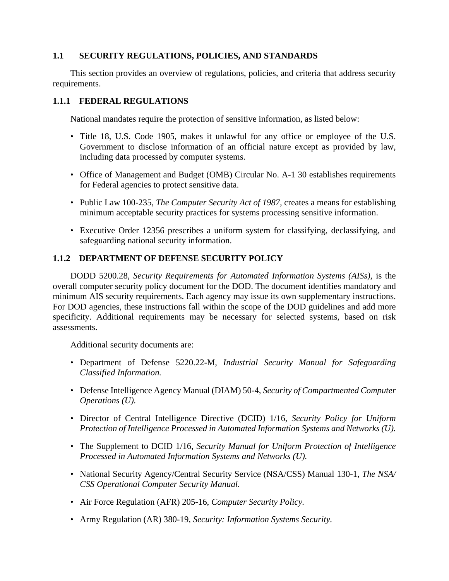# **1.1 SECURITY REGULATIONS, POLICIES, AND STANDARDS**

This section provides an overview of regulations, policies, and criteria that address security requirements.

### **1.1.1 FEDERAL REGULATIONS**

National mandates require the protection of sensitive information, as listed below:

- Title 18, U.S. Code 1905, makes it unlawful for any office or employee of the U.S. Government to disclose information of an official nature except as provided by law, including data processed by computer systems.
- Office of Management and Budget (OMB) Circular No. A-1 30 establishes requirements for Federal agencies to protect sensitive data.
- Public Law 100-235, *The Computer Security Act of 1987,* creates a means for establishing minimum acceptable security practices for systems processing sensitive information.
- Executive Order 12356 prescribes a uniform system for classifying, declassifying, and safeguarding national security information.

# **1.1.2 DEPARTMENT OF DEFENSE SECURITY POLICY**

DODD 5200.28, *Security Requirements for Automated Information Systems (AISs),* is the overall computer security policy document for the DOD. The document identifies mandatory and minimum AIS security requirements. Each agency may issue its own supplementary instructions. For DOD agencies, these instructions fall within the scope of the DOD guidelines and add more specificity. Additional requirements may be necessary for selected systems, based on risk assessments.

Additional security documents are:

- Department of Defense 5220.22-M, *Industrial Security Manual for Safeguarding Classified Information.*
- Defense Intelligence Agency Manual (DIAM) 50-4, *Security of Compartmented Computer Operations (U).*
- Director of Central Intelligence Directive (DCID) 1/16, *Security Policy for Uniform Protection of Intelligence Processed in Automated Information Systems and Networks (U).*
- The Supplement to DCID 1/16, *Security Manual for Uniform Protection of Intelligence Processed in Automated Information Systems and Networks (U).*
- National Security Agency/Central Security Service (NSA/CSS) Manual 130-1, *The NSA/ CSS Operational Computer Security Manual.*
- Air Force Regulation (AFR) 205-16, *Computer Security Policy.*
- Army Regulation (AR) 380-19, *Security: Information Systems Security.*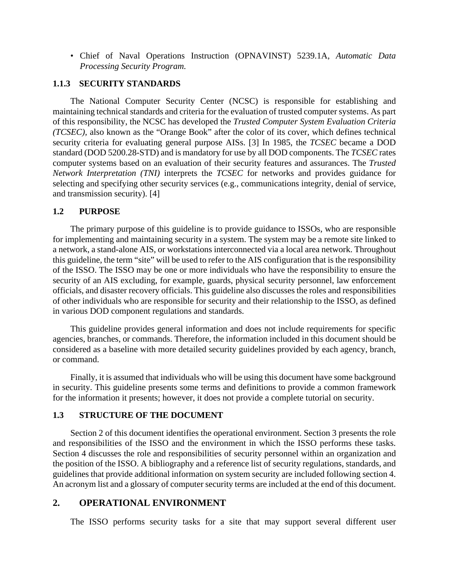• Chief of Naval Operations Instruction (OPNAVINST) 5239.1A, *Automatic Data Processing Security Program.*

#### **1.1.3 SECURITY STANDARDS**

The National Computer Security Center (NCSC) is responsible for establishing and maintaining technical standards and criteria for the evaluation of trusted computer systems. As part of this responsibility, the NCSC has developed the *Trusted Computer System Evaluation Criteria (TCSEC),* also known as the "Orange Book" after the color of its cover, which defines technical security criteria for evaluating general purpose AISs. [3] In 1985, the *TCSEC* became a DOD standard (DOD 5200.28-STD) and is mandatory for use by all DOD components. The *TCSEC* rates computer systems based on an evaluation of their security features and assurances. The *Trusted Network Interpretation (TNI)* interprets the *TCSEC* for networks and provides guidance for selecting and specifying other security services (e.g., communications integrity, denial of service, and transmission security). [4]

#### **1.2 PURPOSE**

The primary purpose of this guideline is to provide guidance to ISSOs, who are responsible for implementing and maintaining security in a system. The system may be a remote site linked to a network, a stand-alone AIS, or workstations interconnected via a local area network. Throughout this guideline, the term "site" will be used to refer to the AIS configuration that is the responsibility of the ISSO. The ISSO may be one or more individuals who have the responsibility to ensure the security of an AIS excluding, for example, guards, physical security personnel, law enforcement officials, and disaster recovery officials. This guideline also discusses the roles and responsibilities of other individuals who are responsible for security and their relationship to the ISSO, as defined in various DOD component regulations and standards.

This guideline provides general information and does not include requirements for specific agencies, branches, or commands. Therefore, the information included in this document should be considered as a baseline with more detailed security guidelines provided by each agency, branch, or command.

Finally, it is assumed that individuals who will be using this document have some background in security. This guideline presents some terms and definitions to provide a common framework for the information it presents; however, it does not provide a complete tutorial on security.

#### **1.3 STRUCTURE OF THE DOCUMENT**

Section 2 of this document identifies the operational environment. Section 3 presents the role and responsibilities of the ISSO and the environment in which the ISSO performs these tasks. Section 4 discusses the role and responsibilities of security personnel within an organization and the position of the ISSO. A bibliography and a reference list of security regulations, standards, and guidelines that provide additional information on system security are included following section 4. An acronym list and a glossary of computer security terms are included at the end of this document.

# **2. OPERATIONAL ENVIRONMENT**

The ISSO performs security tasks for a site that may support several different user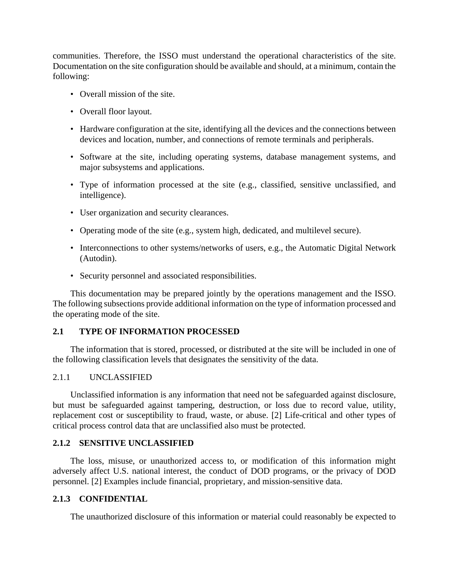communities. Therefore, the ISSO must understand the operational characteristics of the site. Documentation on the site configuration should be available and should, at a minimum, contain the following:

- Overall mission of the site.
- Overall floor layout.
- Hardware configuration at the site, identifying all the devices and the connections between devices and location, number, and connections of remote terminals and peripherals.
- Software at the site, including operating systems, database management systems, and major subsystems and applications.
- Type of information processed at the site (e.g., classified, sensitive unclassified, and intelligence).
- User organization and security clearances.
- Operating mode of the site (e.g., system high, dedicated, and multilevel secure).
- Interconnections to other systems/networks of users, e.g., the Automatic Digital Network (Autodin).
- Security personnel and associated responsibilities.

This documentation may be prepared jointly by the operations management and the ISSO. The following subsections provide additional information on the type of information processed and the operating mode of the site.

#### **2.1 TYPE OF INFORMATION PROCESSED**

The information that is stored, processed, or distributed at the site will be included in one of the following classification levels that designates the sensitivity of the data.

#### 2.1.1 UNCLASSIFIED

Unclassified information is any information that need not be safeguarded against disclosure, but must be safeguarded against tampering, destruction, or loss due to record value, utility, replacement cost or susceptibility to fraud, waste, or abuse. [2] Life-critical and other types of critical process control data that are unclassified also must be protected.

#### **2.1.2 SENSITIVE UNCLASSIFIED**

The loss, misuse, or unauthorized access to, or modification of this information might adversely affect U.S. national interest, the conduct of DOD programs, or the privacy of DOD personnel. [2] Examples include financial, proprietary, and mission-sensitive data.

#### **2.1.3 CONFIDENTIAL**

The unauthorized disclosure of this information or material could reasonably be expected to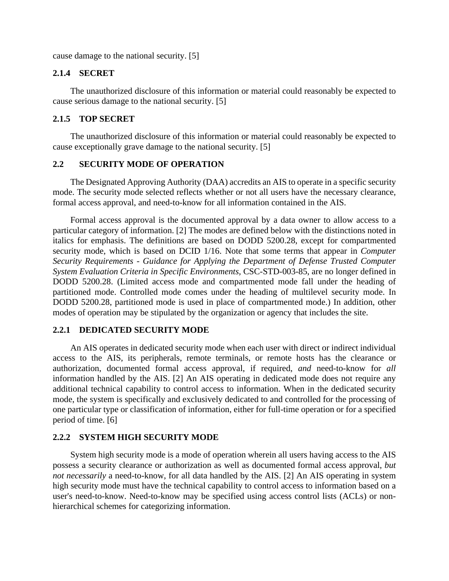cause damage to the national security. [5]

#### **2.1.4 SECRET**

The unauthorized disclosure of this information or material could reasonably be expected to cause serious damage to the national security. [5]

### **2.1.5 TOP SECRET**

The unauthorized disclosure of this information or material could reasonably be expected to cause exceptionally grave damage to the national security. [5]

#### **2.2 SECURITY MODE OF OPERATION**

The Designated Approving Authority (DAA) accredits an AIS to operate in a specific security mode. The security mode selected reflects whether or not all users have the necessary clearance, formal access approval, and need-to-know for all information contained in the AIS.

Formal access approval is the documented approval by a data owner to allow access to a particular category of information. [2] The modes are defined below with the distinctions noted in italics for emphasis. The definitions are based on DODD 5200.28, except for compartmented security mode, which is based on DCID 1/16. Note that some terms that appear in *Computer Security Requirements - Guidance for Applying the Department of Defense Trusted Computer System Evaluation Criteria in Specific Environments,* CSC-STD-003-85, are no longer defined in DODD 5200.28. (Limited access mode and compartmented mode fall under the heading of partitioned mode. Controlled mode comes under the heading of multilevel security mode. In DODD 5200.28, partitioned mode is used in place of compartmented mode.) In addition, other modes of operation may be stipulated by the organization or agency that includes the site.

#### **2.2.1 DEDICATED SECURITY MODE**

An AIS operates in dedicated security mode when each user with direct or indirect individual access to the AIS, its peripherals, remote terminals, or remote hosts has the clearance or authorization, documented formal access approval, if required, *and* need-to-know for *all* information handled by the AIS. [2] An AIS operating in dedicated mode does not require any additional technical capability to control access to information. When in the dedicated security mode, the system is specifically and exclusively dedicated to and controlled for the processing of one particular type or classification of information, either for full-time operation or for a specified period of time. [6]

### **2.2.2 SYSTEM HIGH SECURITY MODE**

System high security mode is a mode of operation wherein all users having access to the AIS possess a security clearance or authorization as well as documented formal access approval, *but not necessarily* a need-to-know, for all data handled by the AIS. [2] An AIS operating in system high security mode must have the technical capability to control access to information based on a user's need-to-know. Need-to-know may be specified using access control lists (ACLs) or nonhierarchical schemes for categorizing information.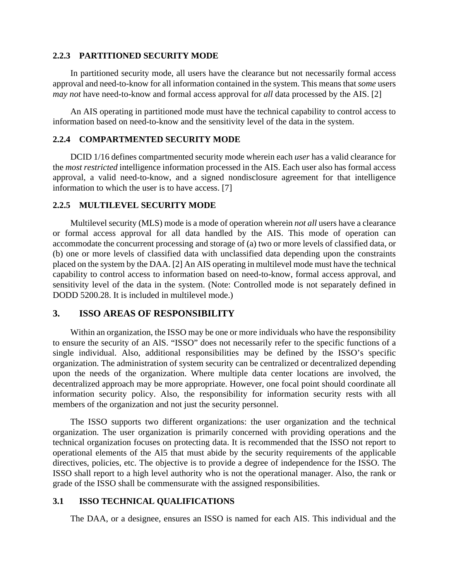#### **2.2.3 PARTITIONED SECURITY MODE**

In partitioned security mode, all users have the clearance but not necessarily formal access approval and need-to-know for all information contained in the system. This means that *some* users *may not* have need-to-know and formal access approval for *all* data processed by the AIS. [2]

An AIS operating in partitioned mode must have the technical capability to control access to information based on need-to-know and the sensitivity level of the data in the system.

### **2.2.4 COMPARTMENTED SECURITY MODE**

DCID 1/16 defines compartmented security mode wherein each *user* has a valid clearance for the *most restricted* intelligence information processed in the AIS. Each user also has formal access approval, a valid need-to-know, and a signed nondisclosure agreement for that intelligence information to which the user is to have access. [7]

#### **2.2.5 MULTILEVEL SECURITY MODE**

Multilevel security (MLS) mode is a mode of operation wherein *not all* users have a clearance or formal access approval for all data handled by the AIS. This mode of operation can accommodate the concurrent processing and storage of (a) two or more levels of classified data, or (b) one or more levels of classified data with unclassified data depending upon the constraints placed on the system by the DAA. [2] An AIS operating in multilevel mode must have the technical capability to control access to information based on need-to-know, formal access approval, and sensitivity level of the data in the system. (Note: Controlled mode is not separately defined in DODD 5200.28. It is included in multilevel mode.)

# **3. ISSO AREAS OF RESPONSIBILITY**

Within an organization, the ISSO may be one or more individuals who have the responsibility to ensure the security of an AlS. "ISSO" does not necessarily refer to the specific functions of a single individual. Also, additional responsibilities may be defined by the ISSO's specific organization. The administration of system security can be centralized or decentralized depending upon the needs of the organization. Where multiple data center locations are involved, the decentralized approach may be more appropriate. However, one focal point should coordinate all information security policy. Also, the responsibility for information security rests with all members of the organization and not just the security personnel.

The ISSO supports two different organizations: the user organization and the technical organization. The user organization is primarily concerned with providing operations and the technical organization focuses on protecting data. It is recommended that the ISSO not report to operational elements of the Al5 that must abide by the security requirements of the applicable directives, policies, etc. The objective is to provide a degree of independence for the ISSO. The ISSO shall report to a high level authority who is not the operational manager. Also, the rank or grade of the ISSO shall be commensurate with the assigned responsibilities.

## **3.1 ISSO TECHNICAL QUALIFICATIONS**

The DAA, or a designee, ensures an ISSO is named for each AIS. This individual and the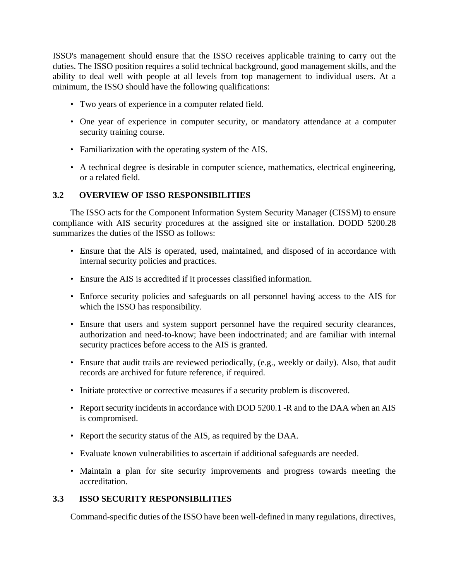ISSO's management should ensure that the ISSO receives applicable training to carry out the duties. The ISSO position requires a solid technical background, good management skills, and the ability to deal well with people at all levels from top management to individual users. At a minimum, the ISSO should have the following qualifications:

- Two years of experience in a computer related field.
- One year of experience in computer security, or mandatory attendance at a computer security training course.
- Familiarization with the operating system of the AIS.
- A technical degree is desirable in computer science, mathematics, electrical engineering, or a related field.

# **3.2 OVERVIEW OF ISSO RESPONSIBILITIES**

The ISSO acts for the Component Information System Security Manager (CISSM) to ensure compliance with AIS security procedures at the assigned site or installation. DODD 5200.28 summarizes the duties of the ISSO as follows:

- Ensure that the AlS is operated, used, maintained, and disposed of in accordance with internal security policies and practices.
- Ensure the AIS is accredited if it processes classified information.
- Enforce security policies and safeguards on all personnel having access to the AIS for which the ISSO has responsibility.
- Ensure that users and system support personnel have the required security clearances, authorization and need-to-know; have been indoctrinated; and are familiar with internal security practices before access to the AIS is granted.
- Ensure that audit trails are reviewed periodically, (e.g., weekly or daily). Also, that audit records are archived for future reference, if required.
- Initiate protective or corrective measures if a security problem is discovered.
- Report security incidents in accordance with DOD 5200.1 -R and to the DAA when an AIS is compromised.
- Report the security status of the AIS, as required by the DAA.
- Evaluate known vulnerabilities to ascertain if additional safeguards are needed.
- Maintain a plan for site security improvements and progress towards meeting the accreditation.

# **3.3 ISSO SECURITY RESPONSIBILITIES**

Command-specific duties of the ISSO have been well-defined in many regulations, directives,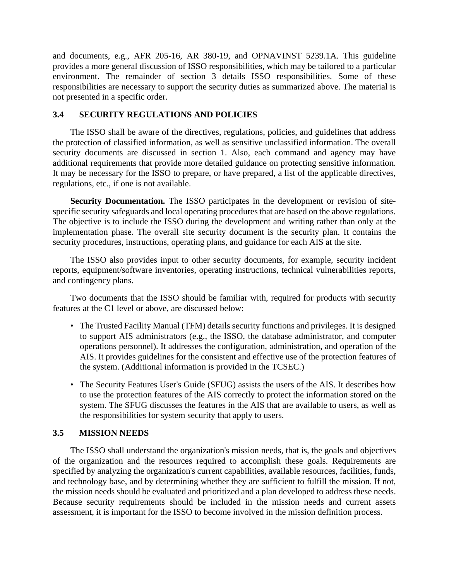and documents, e.g., AFR 205-16, AR 380-19, and OPNAVINST 5239.1A. This guideline provides a more general discussion of ISSO responsibilities, which may be tailored to a particular environment. The remainder of section 3 details ISSO responsibilities. Some of these responsibilities are necessary to support the security duties as summarized above. The material is not presented in a specific order.

### **3.4 SECURITY REGULATIONS AND POLICIES**

The ISSO shall be aware of the directives, regulations, policies, and guidelines that address the protection of classified information, as well as sensitive unclassified information. The overall security documents are discussed in section 1. Also, each command and agency may have additional requirements that provide more detailed guidance on protecting sensitive information. It may be necessary for the ISSO to prepare, or have prepared, a list of the applicable directives, regulations, etc., if one is not available.

**Security Documentation.** The ISSO participates in the development or revision of sitespecific security safeguards and local operating procedures that are based on the above regulations. The objective is to include the ISSO during the development and writing rather than only at the implementation phase. The overall site security document is the security plan. It contains the security procedures, instructions, operating plans, and guidance for each AIS at the site.

The ISSO also provides input to other security documents, for example, security incident reports, equipment/software inventories, operating instructions, technical vulnerabilities reports, and contingency plans.

Two documents that the ISSO should be familiar with, required for products with security features at the C1 level or above, are discussed below:

- The Trusted Facility Manual (TFM) details security functions and privileges. It is designed to support AIS administrators (e.g., the ISSO, the database administrator, and computer operations personnel). It addresses the configuration, administration, and operation of the AIS. It provides guidelines for the consistent and effective use of the protection features of the system. (Additional information is provided in the TCSEC.)
- The Security Features User's Guide (SFUG) assists the users of the AIS. It describes how to use the protection features of the AIS correctly to protect the information stored on the system. The SFUG discusses the features in the AIS that are available to users, as well as the responsibilities for system security that apply to users.

# **3.5 MISSION NEEDS**

The ISSO shall understand the organization's mission needs, that is, the goals and objectives of the organization and the resources required to accomplish these goals. Requirements are specified by analyzing the organization's current capabilities, available resources, facilities, funds, and technology base, and by determining whether they are sufficient to fulfill the mission. If not, the mission needs should be evaluated and prioritized and a plan developed to address these needs. Because security requirements should be included in the mission needs and current assets assessment, it is important for the ISSO to become involved in the mission definition process.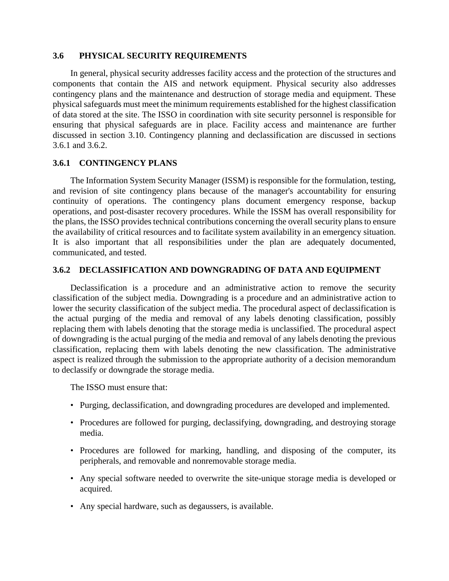#### **3.6 PHYSICAL SECURITY REQUIREMENTS**

In general, physical security addresses facility access and the protection of the structures and components that contain the AIS and network equipment. Physical security also addresses contingency plans and the maintenance and destruction of storage media and equipment. These physical safeguards must meet the minimum requirements established for the highest classification of data stored at the site. The ISSO in coordination with site security personnel is responsible for ensuring that physical safeguards are in place. Facility access and maintenance are further discussed in section 3.10. Contingency planning and declassification are discussed in sections 3.6.1 and 3.6.2.

#### **3.6.1 CONTINGENCY PLANS**

The Information System Security Manager (ISSM) is responsible for the formulation, testing, and revision of site contingency plans because of the manager's accountability for ensuring continuity of operations. The contingency plans document emergency response, backup operations, and post-disaster recovery procedures. While the ISSM has overall responsibility for the plans, the ISSO provides technical contributions concerning the overall security plans to ensure the availability of critical resources and to facilitate system availability in an emergency situation. It is also important that all responsibilities under the plan are adequately documented, communicated, and tested.

#### **3.6.2 DECLASSIFICATION AND DOWNGRADING OF DATA AND EQUIPMENT**

Declassification is a procedure and an administrative action to remove the security classification of the subject media. Downgrading is a procedure and an administrative action to lower the security classification of the subject media. The procedural aspect of declassification is the actual purging of the media and removal of any labels denoting classification, possibly replacing them with labels denoting that the storage media is unclassified. The procedural aspect of downgrading is the actual purging of the media and removal of any labels denoting the previous classification, replacing them with labels denoting the new classification. The administrative aspect is realized through the submission to the appropriate authority of a decision memorandum to declassify or downgrade the storage media.

The ISSO must ensure that:

- Purging, declassification, and downgrading procedures are developed and implemented.
- Procedures are followed for purging, declassifying, downgrading, and destroying storage media.
- Procedures are followed for marking, handling, and disposing of the computer, its peripherals, and removable and nonremovable storage media.
- Any special software needed to overwrite the site-unique storage media is developed or acquired.
- Any special hardware, such as degaussers, is available.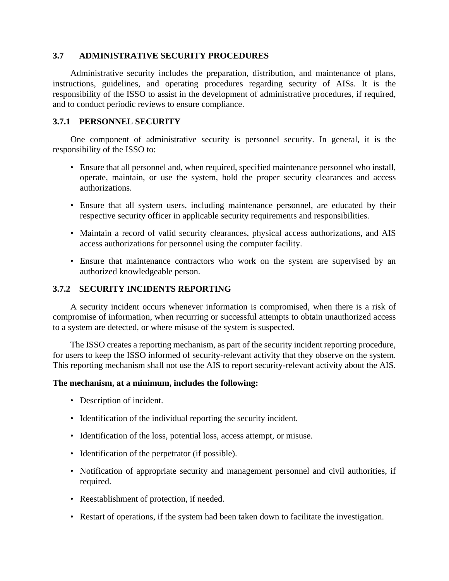## **3.7 ADMINISTRATIVE SECURITY PROCEDURES**

Administrative security includes the preparation, distribution, and maintenance of plans, instructions, guidelines, and operating procedures regarding security of AISs. It is the responsibility of the ISSO to assist in the development of administrative procedures, if required, and to conduct periodic reviews to ensure compliance.

# **3.7.1 PERSONNEL SECURITY**

One component of administrative security is personnel security. In general, it is the responsibility of the ISSO to:

- Ensure that all personnel and, when required, specified maintenance personnel who install, operate, maintain, or use the system, hold the proper security clearances and access authorizations.
- Ensure that all system users, including maintenance personnel, are educated by their respective security officer in applicable security requirements and responsibilities.
- Maintain a record of valid security clearances, physical access authorizations, and AIS access authorizations for personnel using the computer facility.
- Ensure that maintenance contractors who work on the system are supervised by an authorized knowledgeable person.

# **3.7.2 SECURITY INCIDENTS REPORTING**

A security incident occurs whenever information is compromised, when there is a risk of compromise of information, when recurring or successful attempts to obtain unauthorized access to a system are detected, or where misuse of the system is suspected.

The ISSO creates a reporting mechanism, as part of the security incident reporting procedure, for users to keep the ISSO informed of security-relevant activity that they observe on the system. This reporting mechanism shall not use the AIS to report security-relevant activity about the AIS.

#### **The mechanism, at a minimum, includes the following:**

- Description of incident.
- Identification of the individual reporting the security incident.
- Identification of the loss, potential loss, access attempt, or misuse.
- Identification of the perpetrator (if possible).
- Notification of appropriate security and management personnel and civil authorities, if required.
- Reestablishment of protection, if needed.
- Restart of operations, if the system had been taken down to facilitate the investigation.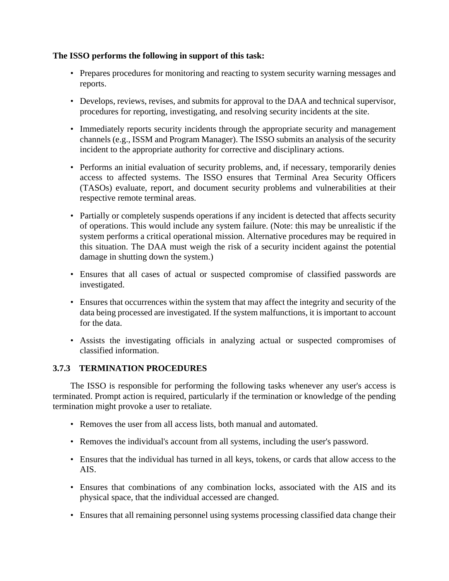# **The ISSO performs the following in support of this task:**

- Prepares procedures for monitoring and reacting to system security warning messages and reports.
- Develops, reviews, revises, and submits for approval to the DAA and technical supervisor, procedures for reporting, investigating, and resolving security incidents at the site.
- Immediately reports security incidents through the appropriate security and management channels (e.g., ISSM and Program Manager). The ISSO submits an analysis of the security incident to the appropriate authority for corrective and disciplinary actions.
- Performs an initial evaluation of security problems, and, if necessary, temporarily denies access to affected systems. The ISSO ensures that Terminal Area Security Officers (TASOs) evaluate, report, and document security problems and vulnerabilities at their respective remote terminal areas.
- Partially or completely suspends operations if any incident is detected that affects security of operations. This would include any system failure. (Note: this may be unrealistic if the system performs a critical operational mission. Alternative procedures may be required in this situation. The DAA must weigh the risk of a security incident against the potential damage in shutting down the system.)
- Ensures that all cases of actual or suspected compromise of classified passwords are investigated.
- Ensures that occurrences within the system that may affect the integrity and security of the data being processed are investigated. If the system malfunctions, it is important to account for the data.
- Assists the investigating officials in analyzing actual or suspected compromises of classified information.

# **3.7.3 TERMINATION PROCEDURES**

The ISSO is responsible for performing the following tasks whenever any user's access is terminated. Prompt action is required, particularly if the termination or knowledge of the pending termination might provoke a user to retaliate.

- Removes the user from all access lists, both manual and automated.
- Removes the individual's account from all systems, including the user's password.
- Ensures that the individual has turned in all keys, tokens, or cards that allow access to the AIS.
- Ensures that combinations of any combination locks, associated with the AIS and its physical space, that the individual accessed are changed.
- Ensures that all remaining personnel using systems processing classified data change their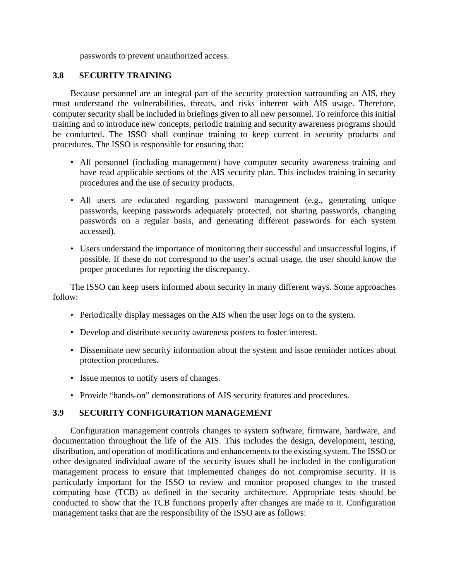passwords to prevent unauthorized access.

### **3.8 SECURITY TRAINING**

Because personnel are an integral part of the security protection surrounding an AIS, they must understand the vulnerabilities, threats, and risks inherent with AIS usage. Therefore, computer security shall be included in briefings given to all new personnel. To reinforce this initial training and to introduce new concepts, periodic training and security awareness programs should be conducted. The ISSO shall continue training to keep current in security products and procedures. The ISSO is responsible for ensuring that:

- All personnel (including management) have computer security awareness training and have read applicable sections of the AIS security plan. This includes training in security procedures and the use of security products.
- All users are educated regarding password management (e.g., generating unique passwords, keeping passwords adequately protected, not sharing passwords, changing passwords on a regular basis, and generating different passwords for each system accessed).
- Users understand the importance of monitoring their successful and unsuccessful logins, if possible. If these do not correspond to the user's actual usage, the user should know the proper procedures for reporting the discrepancy.

The ISSO can keep users informed about security in many different ways. Some approaches follow:

- Periodically display messages on the AIS when the user logs on to the system.
- Develop and distribute security awareness posters to foster interest.
- Disseminate new security information about the system and issue reminder notices about protection procedures.
- Issue memos to notify users of changes.
- Provide "hands-on" demonstrations of AIS security features and procedures.

#### **3.9 SECURITY CONFIGURATION MANAGEMENT**

Configuration management controls changes to system software, firmware, hardware, and documentation throughout the life of the AIS. This includes the design, development, testing, distribution, and operation of modifications and enhancements to the existing system. The ISSO or other designated individual aware of the security issues shall be included in the configuration management process to ensure that implemented changes do not compromise security. It is particularly important for the ISSO to review and monitor proposed changes to the trusted computing base (TCB) as defined in the security architecture. Appropriate tests should be conducted to show that the TCB functions properly after changes are made to it. Configuration management tasks that are the responsibility of the ISSO are as follows: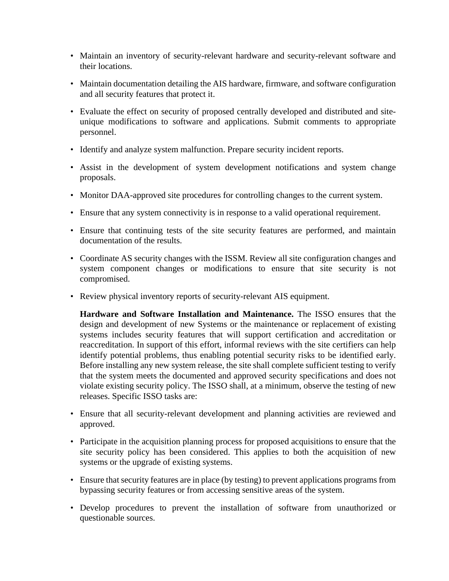- Maintain an inventory of security-relevant hardware and security-relevant software and their locations.
- Maintain documentation detailing the AIS hardware, firmware, and software configuration and all security features that protect it.
- Evaluate the effect on security of proposed centrally developed and distributed and siteunique modifications to software and applications. Submit comments to appropriate personnel.
- Identify and analyze system malfunction. Prepare security incident reports.
- Assist in the development of system development notifications and system change proposals.
- Monitor DAA-approved site procedures for controlling changes to the current system.
- Ensure that any system connectivity is in response to a valid operational requirement.
- Ensure that continuing tests of the site security features are performed, and maintain documentation of the results.
- Coordinate AS security changes with the ISSM. Review all site configuration changes and system component changes or modifications to ensure that site security is not compromised.
- Review physical inventory reports of security-relevant AIS equipment.

**Hardware and Software Installation and Maintenance.** The ISSO ensures that the design and development of new Systems or the maintenance or replacement of existing systems includes security features that will support certification and accreditation or reaccreditation. In support of this effort, informal reviews with the site certifiers can help identify potential problems, thus enabling potential security risks to be identified early. Before installing any new system release, the site shall complete sufficient testing to verify that the system meets the documented and approved security specifications and does not violate existing security policy. The ISSO shall, at a minimum, observe the testing of new releases. Specific ISSO tasks are:

- Ensure that all security-relevant development and planning activities are reviewed and approved.
- Participate in the acquisition planning process for proposed acquisitions to ensure that the site security policy has been considered. This applies to both the acquisition of new systems or the upgrade of existing systems.
- Ensure that security features are in place (by testing) to prevent applications programs from bypassing security features or from accessing sensitive areas of the system.
- Develop procedures to prevent the installation of software from unauthorized or questionable sources.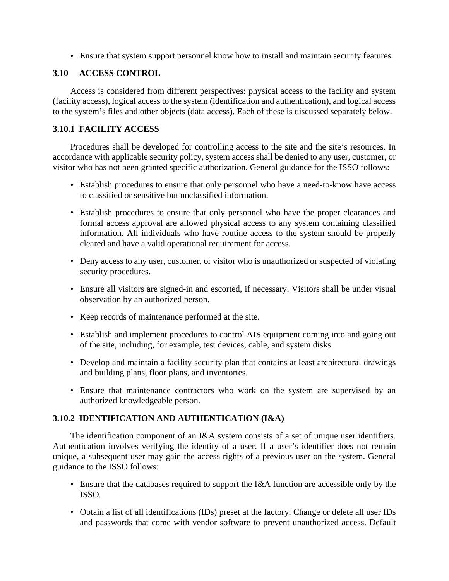• Ensure that system support personnel know how to install and maintain security features.

# **3.10 ACCESS CONTROL**

Access is considered from different perspectives: physical access to the facility and system (facility access), logical access to the system (identification and authentication), and logical access to the system's files and other objects (data access). Each of these is discussed separately below.

# **3.10.1 FACILITY ACCESS**

Procedures shall be developed for controlling access to the site and the site's resources. In accordance with applicable security policy, system access shall be denied to any user, customer, or visitor who has not been granted specific authorization. General guidance for the ISSO follows:

- Establish procedures to ensure that only personnel who have a need-to-know have access to classified or sensitive but unclassified information.
- Establish procedures to ensure that only personnel who have the proper clearances and formal access approval are allowed physical access to any system containing classified information. All individuals who have routine access to the system should be properly cleared and have a valid operational requirement for access.
- Deny access to any user, customer, or visitor who is unauthorized or suspected of violating security procedures.
- Ensure all visitors are signed-in and escorted, if necessary. Visitors shall be under visual observation by an authorized person.
- Keep records of maintenance performed at the site.
- Establish and implement procedures to control AIS equipment coming into and going out of the site, including, for example, test devices, cable, and system disks.
- Develop and maintain a facility security plan that contains at least architectural drawings and building plans, floor plans, and inventories.
- Ensure that maintenance contractors who work on the system are supervised by an authorized knowledgeable person.

# **3.10.2 IDENTIFICATION AND AUTHENTICATlON (I&A)**

The identification component of an I&A system consists of a set of unique user identifiers. Authentication involves verifying the identity of a user. If a user's identifier does not remain unique, a subsequent user may gain the access rights of a previous user on the system. General guidance to the ISSO follows:

- Ensure that the databases required to support the I&A function are accessible only by the ISSO.
- Obtain a list of all identifications (IDs) preset at the factory. Change or delete all user IDs and passwords that come with vendor software to prevent unauthorized access. Default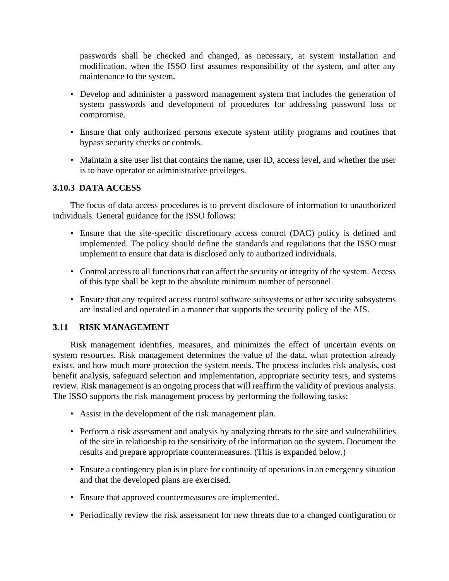passwords shall be checked and changed, as necessary, at system installation and modification, when the ISSO first assumes responsibility of the system, and after any maintenance to the system.

- Develop and administer a password management system that includes the generation of system passwords and development of procedures for addressing password loss or compromise.
- Ensure that only authorized persons execute system utility programs and routines that bypass security checks or controls.
- Maintain a site user list that contains the name, user ID, access level, and whether the user is to have operator or administrative privileges.

# **3.10.3 DATA ACCESS**

The focus of data access procedures is to prevent disclosure of information to unauthorized individuals. General guidance for the ISSO follows:

- Ensure that the site-specific discretionary access control (DAC) policy is defined and implemented. The policy should define the standards and regulations that the ISSO must implement to ensure that data is disclosed only to authorized individuals.
- Control access to all functions that can affect the security or integrity of the system. Access of this type shall be kept to the absolute minimum number of personnel.
- Ensure that any required access control software subsystems or other security subsystems are installed and operated in a manner that supports the security policy of the AIS.

#### **3.11 RISK MANAGEMENT**

Risk management identifies, measures, and minimizes the effect of uncertain events on system resources. Risk management determines the value of the data, what protection already exists, and how much more protection the system needs. The process includes risk analysis, cost benefit analysis, safeguard selection and implementation, appropriate security tests, and systems review. Risk management is an ongoing process that will reaffirm the validity of previous analysis. The ISSO supports the risk management process by performing the following tasks:

- Assist in the development of the risk management plan.
- Perform a risk assessment and analysis by analyzing threats to the site and vulnerabilities of the site in relationship to the sensitivity of the information on the system. Document the results and prepare appropriate countermeasures. (This is expanded below.)
- Ensure a contingency plan is in place for continuity of operations in an emergency situation and that the developed plans are exercised.
- Ensure that approved countermeasures are implemented.
- Periodically review the risk assessment for new threats due to a changed configuration or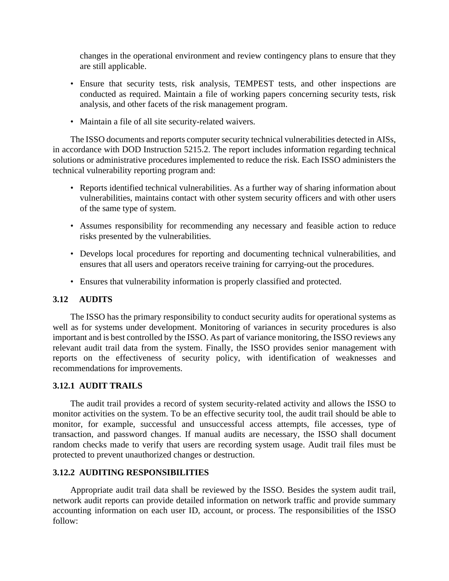changes in the operational environment and review contingency plans to ensure that they are still applicable.

- Ensure that security tests, risk analysis, TEMPEST tests, and other inspections are conducted as required. Maintain a file of working papers concerning security tests, risk analysis, and other facets of the risk management program.
- Maintain a file of all site security-related waivers.

The ISSO documents and reports computer security technical vulnerabilities detected in AISs, in accordance with DOD Instruction 5215.2. The report includes information regarding technical solutions or administrative procedures implemented to reduce the risk. Each ISSO administers the technical vulnerability reporting program and:

- Reports identified technical vulnerabilities. As a further way of sharing information about vulnerabilities, maintains contact with other system security officers and with other users of the same type of system.
- Assumes responsibility for recommending any necessary and feasible action to reduce risks presented by the vulnerabilities.
- Develops local procedures for reporting and documenting technical vulnerabilities, and ensures that all users and operators receive training for carrying-out the procedures.
- Ensures that vulnerability information is properly classified and protected.

#### **3.12 AUDITS**

The ISSO has the primary responsibility to conduct security audits for operational systems as well as for systems under development. Monitoring of variances in security procedures is also important and is best controlled by the ISSO. As part of variance monitoring, the ISSO reviews any relevant audit trail data from the system. Finally, the ISSO provides senior management with reports on the effectiveness of security policy, with identification of weaknesses and recommendations for improvements.

#### **3.12.1 AUDIT TRAILS**

The audit trail provides a record of system security-related activity and allows the ISSO to monitor activities on the system. To be an effective security tool, the audit trail should be able to monitor, for example, successful and unsuccessful access attempts, file accesses, type of transaction, and password changes. If manual audits are necessary, the ISSO shall document random checks made to verify that users are recording system usage. Audit trail files must be protected to prevent unauthorized changes or destruction.

#### **3.12.2 AUDITING RESPONSIBILITIES**

Appropriate audit trail data shall be reviewed by the ISSO. Besides the system audit trail, network audit reports can provide detailed information on network traffic and provide summary accounting information on each user ID, account, or process. The responsibilities of the ISSO follow: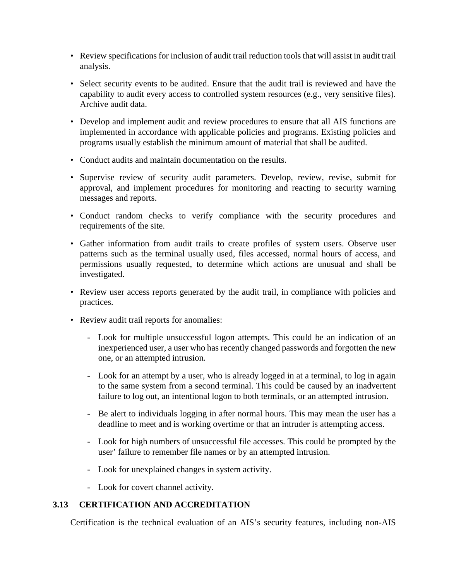- Review specifications for inclusion of audit trail reduction tools that will assist in audit trail analysis.
- Select security events to be audited. Ensure that the audit trail is reviewed and have the capability to audit every access to controlled system resources (e.g., very sensitive files). Archive audit data.
- Develop and implement audit and review procedures to ensure that all AIS functions are implemented in accordance with applicable policies and programs. Existing policies and programs usually establish the minimum amount of material that shall be audited.
- Conduct audits and maintain documentation on the results.
- Supervise review of security audit parameters. Develop, review, revise, submit for approval, and implement procedures for monitoring and reacting to security warning messages and reports.
- Conduct random checks to verify compliance with the security procedures and requirements of the site.
- Gather information from audit trails to create profiles of system users. Observe user patterns such as the terminal usually used, files accessed, normal hours of access, and permissions usually requested, to determine which actions are unusual and shall be investigated.
- Review user access reports generated by the audit trail, in compliance with policies and practices.
- Review audit trail reports for anomalies:
	- Look for multiple unsuccessful logon attempts. This could be an indication of an inexperienced user, a user who has recently changed passwords and forgotten the new one, or an attempted intrusion.
	- Look for an attempt by a user, who is already logged in at a terminal, to log in again to the same system from a second terminal. This could be caused by an inadvertent failure to log out, an intentional logon to both terminals, or an attempted intrusion.
	- Be alert to individuals logging in after normal hours. This may mean the user has a deadline to meet and is working overtime or that an intruder is attempting access.
	- Look for high numbers of unsuccessful file accesses. This could be prompted by the user' failure to remember file names or by an attempted intrusion.
	- Look for unexplained changes in system activity.
	- Look for covert channel activity.

#### **3.13 CERTIFICATION AND ACCREDITATION**

Certification is the technical evaluation of an AIS's security features, including non-AIS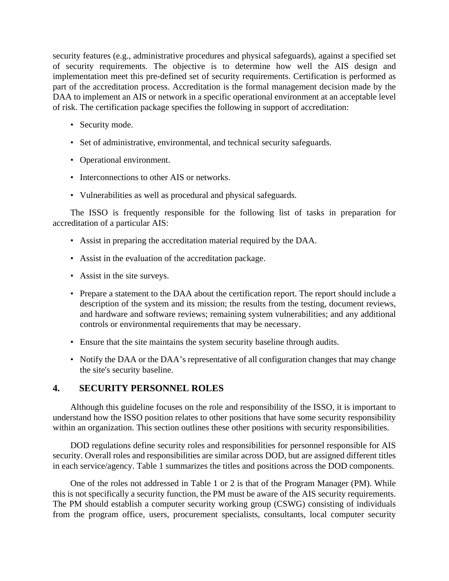security features (e.g., administrative procedures and physical safeguards), against a specified set of security requirements. The objective is to determine how well the AIS design and implementation meet this pre-defined set of security requirements. Certification is performed as part of the accreditation process. Accreditation is the formal management decision made by the DAA to implement an AIS or network in a specific operational environment at an acceptable level of risk. The certification package specifies the following in support of accreditation:

- Security mode.
- Set of administrative, environmental, and technical security safeguards.
- Operational environment.
- Interconnections to other AIS or networks.
- Vulnerabilities as well as procedural and physical safeguards.

The ISSO is frequently responsible for the following list of tasks in preparation for accreditation of a particular AIS:

- Assist in preparing the accreditation material required by the DAA.
- Assist in the evaluation of the accreditation package.
- Assist in the site surveys.
- Prepare a statement to the DAA about the certification report. The report should include a description of the system and its mission; the results from the testing, document reviews, and hardware and software reviews; remaining system vulnerabilities; and any additional controls or environmental requirements that may be necessary.
- Ensure that the site maintains the system security baseline through audits.
- Notify the DAA or the DAA's representative of all configuration changes that may change the site's security baseline.

# **4. SECURITY PERSONNEL ROLES**

Although this guideline focuses on the role and responsibility of the ISSO, it is important to understand how the ISSO position relates to other positions that have some security responsibility within an organization. This section outlines these other positions with security responsibilities.

DOD regulations define security roles and responsibilities for personnel responsible for AIS security. Overall roles and responsibilities are similar across DOD, but are assigned different titles in each service/agency. Table 1 summarizes the titles and positions across the DOD components.

One of the roles not addressed in Table 1 or 2 is that of the Program Manager (PM). While this is not specifically a security function, the PM must be aware of the AIS security requirements. The PM should establish a computer security working group (CSWG) consisting of individuals from the program office, users, procurement specialists, consultants, local computer security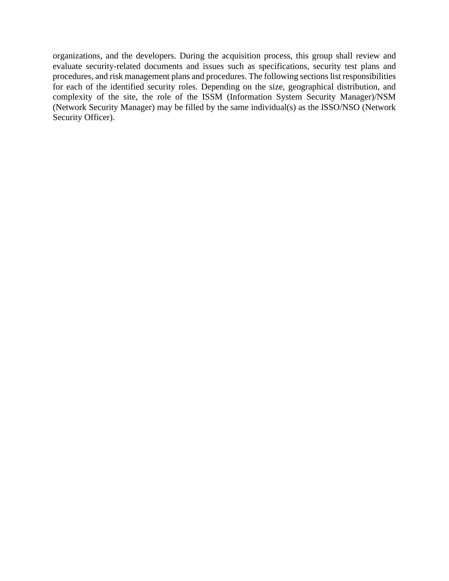organizations, and the developers. During the acquisition process, this group shall review and evaluate security-related documents and issues such as specifications, security test plans and procedures, and risk management plans and procedures. The following sections list responsibilities for each of the identified security roles. Depending on the size, geographical distribution, and complexity of the site, the role of the ISSM (Information System Security Manager)/NSM (Network Security Manager) may be filled by the same individual(s) as the lSSO/NSO (Network Security Officer).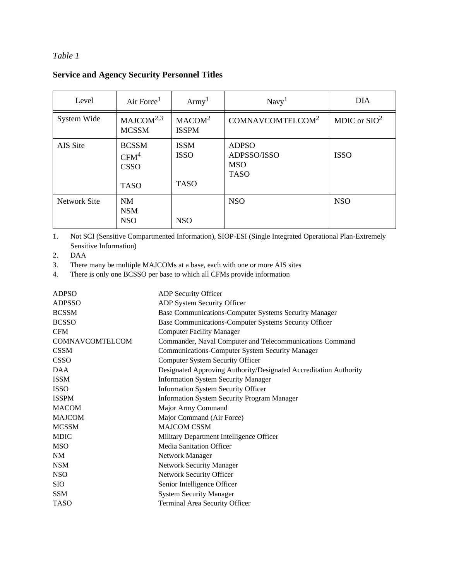# *Table 1*

# **Service and Agency Security Personnel Titles**

| Level               | Air Force <sup>1</sup>                                         | $A$ rmy <sup>1</sup>                      | Navy <sup>1</sup>                                        | <b>DIA</b>             |
|---------------------|----------------------------------------------------------------|-------------------------------------------|----------------------------------------------------------|------------------------|
| System Wide         | MAJCOM <sup>2,3</sup><br><b>MCSSM</b>                          | MACOM <sup>2</sup><br><b>ISSPM</b>        | COMNAVCOMTELCOM <sup>2</sup>                             | MDIC or $\text{SIO}^2$ |
| AIS Site            | <b>BCSSM</b><br>CFM <sup>4</sup><br><b>CSSO</b><br><b>TASO</b> | <b>ISSM</b><br><b>ISSO</b><br><b>TASO</b> | <b>ADPSO</b><br>ADPSSO/ISSO<br><b>MSO</b><br><b>TASO</b> | <b>ISSO</b>            |
| <b>Network Site</b> | NM<br><b>NSM</b><br><b>NSO</b>                                 | <b>NSO</b>                                | <b>NSO</b>                                               | <b>NSO</b>             |

1. Not SCI (Sensitive Compartmented Information), SIOP-ESI (Single Integrated Operational Plan-Extremely Sensitive Information)

2. DAA

3. There many be multiple MAJCOMs at a base, each with one or more AIS sites

4. There is only one BCSSO per base to which all CFMs provide information

| <b>ADPSO</b>    | ADP Security Officer                                              |
|-----------------|-------------------------------------------------------------------|
| <b>ADPSSO</b>   | ADP System Security Officer                                       |
| <b>BCSSM</b>    | Base Communications-Computer Systems Security Manager             |
| <b>BCSSO</b>    | Base Communications-Computer Systems Security Officer             |
| <b>CFM</b>      | <b>Computer Facility Manager</b>                                  |
| COMNAVCOMTELCOM | Commander, Naval Computer and Telecommunications Command          |
| <b>CSSM</b>     | <b>Communications-Computer System Security Manager</b>            |
| <b>CSSO</b>     | <b>Computer System Security Officer</b>                           |
| <b>DAA</b>      | Designated Approving Authority/Designated Accreditation Authority |
| <b>ISSM</b>     | <b>Information System Security Manager</b>                        |
| <b>ISSO</b>     | <b>Information System Security Officer</b>                        |
| <b>ISSPM</b>    | <b>Information System Security Program Manager</b>                |
| <b>MACOM</b>    | Major Army Command                                                |
| <b>MAJCOM</b>   | Major Command (Air Force)                                         |
| <b>MCSSM</b>    | <b>MAJCOM CSSM</b>                                                |
| <b>MDIC</b>     | Military Department Intelligence Officer                          |
| <b>MSO</b>      | <b>Media Sanitation Officer</b>                                   |
| NM              | Network Manager                                                   |
| <b>NSM</b>      | <b>Network Security Manager</b>                                   |
| <b>NSO</b>      | Network Security Officer                                          |
| <b>SIO</b>      | Senior Intelligence Officer                                       |
| <b>SSM</b>      | <b>System Security Manager</b>                                    |
| <b>TASO</b>     | Terminal Area Security Officer                                    |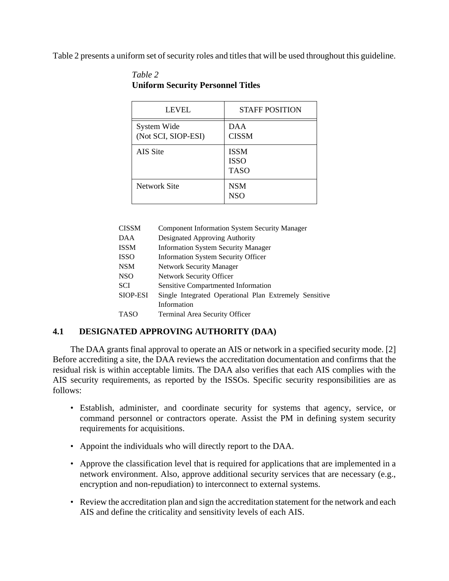Table 2 presents a uniform set of security roles and titles that will be used throughout this guideline.

| LEVEL                              | <b>STAFF POSITION</b>                     |
|------------------------------------|-------------------------------------------|
| System Wide<br>(Not SCI, SIOP-ESI) | DAA<br><b>CISSM</b>                       |
| AIS Site                           | <b>ISSM</b><br><b>ISSO</b><br><b>TASO</b> |
| Network Site                       | <b>NSM</b><br><b>NSO</b>                  |

# *Table 2* **Uniform Security Personnel Titles**

| CISSM    | <b>Component Information System Security Manager</b>   |
|----------|--------------------------------------------------------|
| DAA      | Designated Approving Authority                         |
| ISSM     | <b>Information System Security Manager</b>             |
| ISSO     | <b>Information System Security Officer</b>             |
| NSM      | <b>Network Security Manager</b>                        |
| NSO      | Network Security Officer                               |
| SCI      | <b>Sensitive Compartmented Information</b>             |
| SIOP-ESI | Single Integrated Operational Plan Extremely Sensitive |
|          | Information                                            |
| TASO     | Terminal Area Security Officer                         |
|          |                                                        |

#### **4.1 DESIGNATED APPROVING AUTHORITY (DAA)**

The DAA grants final approval to operate an AIS or network in a specified security mode. [2] Before accrediting a site, the DAA reviews the accreditation documentation and confirms that the residual risk is within acceptable limits. The DAA also verifies that each AIS complies with the AIS security requirements, as reported by the ISSOs. Specific security responsibilities are as follows:

- Establish, administer, and coordinate security for systems that agency, service, or command personnel or contractors operate. Assist the PM in defining system security requirements for acquisitions.
- Appoint the individuals who will directly report to the DAA.
- Approve the classification level that is required for applications that are implemented in a network environment. Also, approve additional security services that are necessary (e.g., encryption and non-repudiation) to interconnect to external systems.
- Review the accreditation plan and sign the accreditation statement for the network and each AIS and define the criticality and sensitivity levels of each AIS.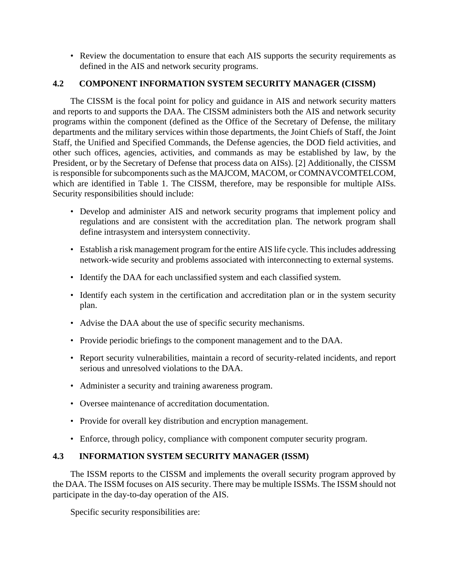• Review the documentation to ensure that each AIS supports the security requirements as defined in the AIS and network security programs.

# **4.2 COMPONENT INFORMATION SYSTEM SECURITY MANAGER (CISSM)**

The CISSM is the focal point for policy and guidance in AIS and network security matters and reports to and supports the DAA. The CISSM administers both the AIS and network security programs within the component (defined as the Office of the Secretary of Defense, the military departments and the military services within those departments, the Joint Chiefs of Staff, the Joint Staff, the Unified and Specified Commands, the Defense agencies, the DOD field activities, and other such offices, agencies, activities, and commands as may be established by law, by the President, or by the Secretary of Defense that process data on AISs). [2] Additionally, the CISSM is responsible for subcomponents such as the MAJCOM, MACOM, or COMNAVCOMTELCOM, which are identified in Table 1. The CISSM, therefore, may be responsible for multiple AISs. Security responsibilities should include:

- Develop and administer AIS and network security programs that implement policy and regulations and are consistent with the accreditation plan. The network program shall define intrasystem and intersystem connectivity.
- Establish a risk management program for the entire AIS life cycle. This includes addressing network-wide security and problems associated with interconnecting to external systems.
- Identify the DAA for each unclassified system and each classified system.
- Identify each system in the certification and accreditation plan or in the system security plan.
- Advise the DAA about the use of specific security mechanisms.
- Provide periodic briefings to the component management and to the DAA.
- Report security vulnerabilities, maintain a record of security-related incidents, and report serious and unresolved violations to the DAA.
- Administer a security and training awareness program.
- Oversee maintenance of accreditation documentation.
- Provide for overall key distribution and encryption management.
- Enforce, through policy, compliance with component computer security program.

# **4.3 INFORMATION SYSTEM SECURITY MANAGER (ISSM)**

The ISSM reports to the CISSM and implements the overall security program approved by the DAA. The ISSM focuses on AIS security. There may be multiple ISSMs. The ISSM should not participate in the day-to-day operation of the AIS.

Specific security responsibilities are: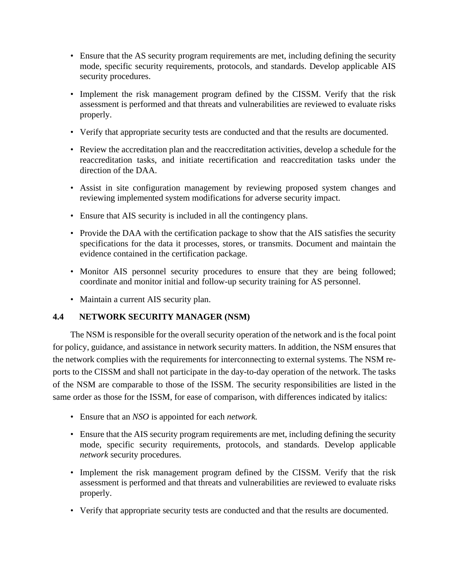- Ensure that the AS security program requirements are met, including defining the security mode, specific security requirements, protocols, and standards. Develop applicable AIS security procedures.
- Implement the risk management program defined by the CISSM. Verify that the risk assessment is performed and that threats and vulnerabilities are reviewed to evaluate risks properly.
- Verify that appropriate security tests are conducted and that the results are documented.
- Review the accreditation plan and the reaccreditation activities, develop a schedule for the reaccreditation tasks, and initiate recertification and reaccreditation tasks under the direction of the DAA.
- Assist in site configuration management by reviewing proposed system changes and reviewing implemented system modifications for adverse security impact.
- Ensure that AIS security is included in all the contingency plans.
- Provide the DAA with the certification package to show that the AIS satisfies the security specifications for the data it processes, stores, or transmits. Document and maintain the evidence contained in the certification package.
- Monitor AIS personnel security procedures to ensure that they are being followed; coordinate and monitor initial and follow-up security training for AS personnel.
- Maintain a current AIS security plan.

# **4.4 NETWORK SECURITY MANAGER (NSM)**

The NSM is responsible for the overall security operation of the network and is the focal point for policy, guidance, and assistance in network security matters. In addition, the NSM ensures that the network complies with the requirements for interconnecting to external systems. The NSM reports to the CISSM and shall not participate in the day-to-day operation of the network. The tasks of the NSM are comparable to those of the ISSM. The security responsibilities are listed in the same order as those for the ISSM, for ease of comparison, with differences indicated by italics:

- Ensure that an *NSO* is appointed for each *network.*
- Ensure that the AIS security program requirements are met, including defining the security mode, specific security requirements, protocols, and standards. Develop applicable *network* security procedures.
- Implement the risk management program defined by the CISSM. Verify that the risk assessment is performed and that threats and vulnerabilities are reviewed to evaluate risks properly.
- Verify that appropriate security tests are conducted and that the results are documented.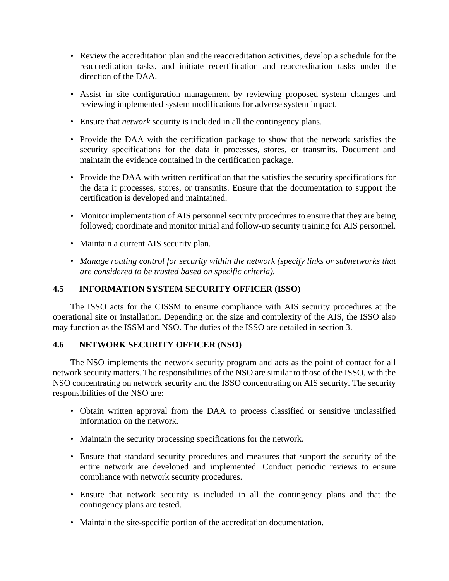- Review the accreditation plan and the reaccreditation activities, develop a schedule for the reaccreditation tasks, and initiate recertification and reaccreditation tasks under the direction of the DAA.
- Assist in site configuration management by reviewing proposed system changes and reviewing implemented system modifications for adverse system impact.
- Ensure that *network* security is included in all the contingency plans.
- Provide the DAA with the certification package to show that the network satisfies the security specifications for the data it processes, stores, or transmits. Document and maintain the evidence contained in the certification package.
- Provide the DAA with written certification that the satisfies the security specifications for the data it processes, stores, or transmits. Ensure that the documentation to support the certification is developed and maintained.
- Monitor implementation of AIS personnel security procedures to ensure that they are being followed; coordinate and monitor initial and follow-up security training for AIS personnel.
- Maintain a current AIS security plan.
- *Manage routing control for security within the network (specify links or subnetworks that are considered to be trusted based on specific criteria).*

# **4.5 INFORMATION SYSTEM SECURITY OFFICER (ISSO)**

The ISSO acts for the CISSM to ensure compliance with AIS security procedures at the operational site or installation. Depending on the size and complexity of the AIS, the ISSO also may function as the ISSM and NSO. The duties of the ISSO are detailed in section 3.

#### **4.6 NETWORK SECURITY OFFICER (NSO)**

The NSO implements the network security program and acts as the point of contact for all network security matters. The responsibilities of the NSO are similar to those of the ISSO, with the NSO concentrating on network security and the ISSO concentrating on AIS security. The security responsibilities of the NSO are:

- Obtain written approval from the DAA to process classified or sensitive unclassified information on the network.
- Maintain the security processing specifications for the network.
- Ensure that standard security procedures and measures that support the security of the entire network are developed and implemented. Conduct periodic reviews to ensure compliance with network security procedures.
- Ensure that network security is included in all the contingency plans and that the contingency plans are tested.
- Maintain the site-specific portion of the accreditation documentation.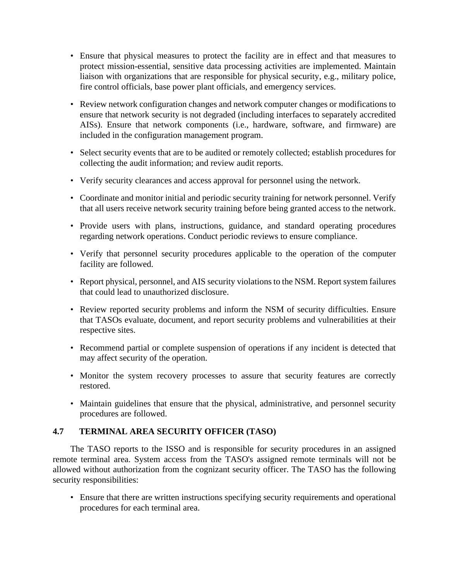- Ensure that physical measures to protect the facility are in effect and that measures to protect mission-essential, sensitive data processing activities are implemented. Maintain liaison with organizations that are responsible for physical security, e.g., military police, fire control officials, base power plant officials, and emergency services.
- Review network configuration changes and network computer changes or modifications to ensure that network security is not degraded (including interfaces to separately accredited AISs). Ensure that network components (i.e., hardware, software, and firmware) are included in the configuration management program.
- Select security events that are to be audited or remotely collected; establish procedures for collecting the audit information; and review audit reports.
- Verify security clearances and access approval for personnel using the network.
- Coordinate and monitor initial and periodic security training for network personnel. Verify that all users receive network security training before being granted access to the network.
- Provide users with plans, instructions, guidance, and standard operating procedures regarding network operations. Conduct periodic reviews to ensure compliance.
- Verify that personnel security procedures applicable to the operation of the computer facility are followed.
- Report physical, personnel, and AIS security violations to the NSM. Report system failures that could lead to unauthorized disclosure.
- Review reported security problems and inform the NSM of security difficulties. Ensure that TASOs evaluate, document, and report security problems and vulnerabilities at their respective sites.
- Recommend partial or complete suspension of operations if any incident is detected that may affect security of the operation.
- Monitor the system recovery processes to assure that security features are correctly restored.
- Maintain guidelines that ensure that the physical, administrative, and personnel security procedures are followed.

# **4.7 TERMINAL AREA SECURITY OFFICER (TASO)**

The TASO reports to the ISSO and is responsible for security procedures in an assigned remote terminal area. System access from the TASO's assigned remote terminals will not be allowed without authorization from the cognizant security officer. The TASO has the following security responsibilities:

• Ensure that there are written instructions specifying security requirements and operational procedures for each terminal area.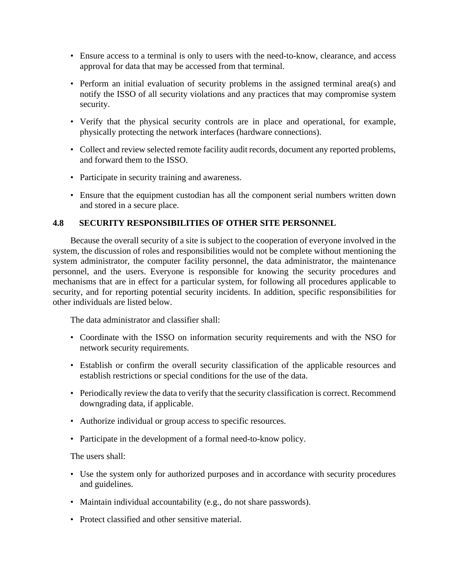- Ensure access to a terminal is only to users with the need-to-know, clearance, and access approval for data that may be accessed from that terminal.
- Perform an initial evaluation of security problems in the assigned terminal area(s) and notify the ISSO of all security violations and any practices that may compromise system security.
- Verify that the physical security controls are in place and operational, for example, physically protecting the network interfaces (hardware connections).
- Collect and review selected remote facility audit records, document any reported problems, and forward them to the ISSO.
- Participate in security training and awareness.
- Ensure that the equipment custodian has all the component serial numbers written down and stored in a secure place.

#### **4.8 SECURITY RESPONSIBILITIES OF OTHER SITE PERSONNEL**

Because the overall security of a site is subject to the cooperation of everyone involved in the system, the discussion of roles and responsibilities would not be complete without mentioning the system administrator, the computer facility personnel, the data administrator, the maintenance personnel, and the users. Everyone is responsible for knowing the security procedures and mechanisms that are in effect for a particular system, for following all procedures applicable to security, and for reporting potential security incidents. In addition, specific responsibilities for other individuals are listed below.

The data administrator and classifier shall:

- Coordinate with the ISSO on information security requirements and with the NSO for network security requirements.
- Establish or confirm the overall security classification of the applicable resources and establish restrictions or special conditions for the use of the data.
- Periodically review the data to verify that the security classification is correct. Recommend downgrading data, if applicable.
- Authorize individual or group access to specific resources.
- Participate in the development of a formal need-to-know policy.

The users shall:

- Use the system only for authorized purposes and in accordance with security procedures and guidelines.
- Maintain individual accountability (e.g., do not share passwords).
- Protect classified and other sensitive material.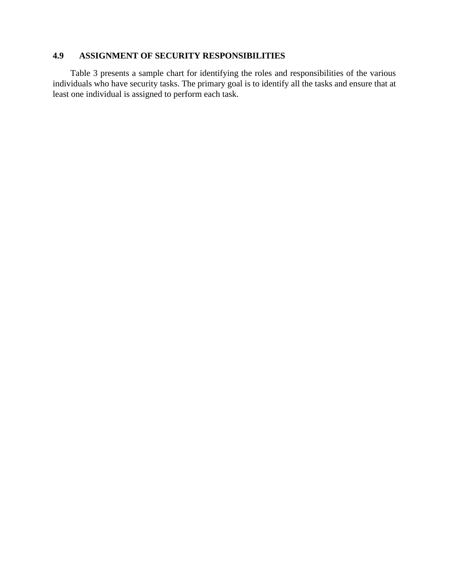### **4.9 ASSIGNMENT OF SECURITY RESPONSIBILITIES**

Table 3 presents a sample chart for identifying the roles and responsibilities of the various individuals who have security tasks. The primary goal is to identify all the tasks and ensure that at least one individual is assigned to perform each task.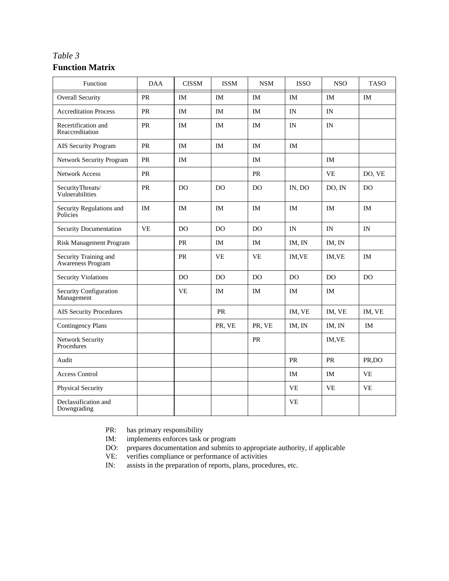# *Table 3* **Function Matrix**

| Function                                          | <b>DAA</b> | <b>CISSM</b>   | <b>ISSM</b>    | $\ensuremath{\mathsf{NSM}}\xspace$ | <b>ISSO</b> | <b>NSO</b> | <b>TASO</b> |
|---------------------------------------------------|------------|----------------|----------------|------------------------------------|-------------|------------|-------------|
| <b>Overall Security</b>                           | PR         | <b>IM</b>      | <b>IM</b>      | <b>IM</b>                          | <b>IM</b>   | <b>IM</b>  | <b>IM</b>   |
| <b>Accreditation Process</b>                      | PR         | IM             | IM             | IM                                 | IN          | IN         |             |
| Recertification and<br>Reaccreditation            | PR         | IM             | <b>IM</b>      | IM                                 | IN          | IN         |             |
| AIS Security Program                              | PR         | <b>IM</b>      | <b>IM</b>      | IM                                 | <b>IM</b>   |            |             |
| <b>Network Security Program</b>                   | <b>PR</b>  | <b>IM</b>      |                | <b>IM</b>                          |             | <b>IM</b>  |             |
| <b>Network Access</b>                             | PR         |                |                | ${\sf PR}$                         |             | <b>VE</b>  | DO, VE      |
| SecurityThreats/<br>Vulnerabilities               | PR         | DO             | DO             | DO                                 | IN, DO      | DO, IN     | DO          |
| Security Regulations and<br>Policies              | IM         | IM             | IM             | IM                                 | IM          | IM         | IM          |
| Security Documentation                            | <b>VE</b>  | D <sub>O</sub> | D <sub>O</sub> | D <sub>O</sub>                     | IN          | IN         | IN          |
| Risk Management Program                           |            | <b>PR</b>      | <b>IM</b>      | <b>IM</b>                          | IM, IN      | IM, IN     |             |
| Security Training and<br><b>Awareness Program</b> |            | <b>PR</b>      | <b>VE</b>      | <b>VE</b>                          | IM, VE      | IM, VE     | <b>IM</b>   |
| <b>Security Violations</b>                        |            | <b>DO</b>      | <b>DO</b>      | <b>DO</b>                          | <b>DO</b>   | <b>DO</b>  | <b>DO</b>   |
| Security Configuration<br>Management              |            | <b>VE</b>      | IM             | IM                                 | IM          | <b>IM</b>  |             |
| <b>AIS Security Procedures</b>                    |            |                | ${\sf PR}$     |                                    | IM, VE      | IM, VE     | IM, VE      |
| <b>Contingency Plans</b>                          |            |                | PR, VE         | PR, VE                             | IM, IN      | IM, IN     | IM          |
| Network Security<br>Procedures                    |            |                |                | ${\sf PR}$                         |             | IM, VE     |             |
| Audit                                             |            |                |                |                                    | <b>PR</b>   | <b>PR</b>  | PR,DO       |
| <b>Access Control</b>                             |            |                |                |                                    | IM          | IM         | <b>VE</b>   |
| Physical Security                                 |            |                |                |                                    | <b>VE</b>   | <b>VE</b>  | <b>VE</b>   |
| Declassification and<br>Downgrading               |            |                |                |                                    | <b>VE</b>   |            |             |

PR: has primary responsibility<br>IM: implements enforces task

implements enforces task or program

DO: prepares documentation and submits to appropriate authority, if applicable VE: verifies compliance or performance of activities

VE: verifies compliance or performance of activities<br>IN: assists in the preparation of reports, plans, proced

assists in the preparation of reports, plans, procedures, etc.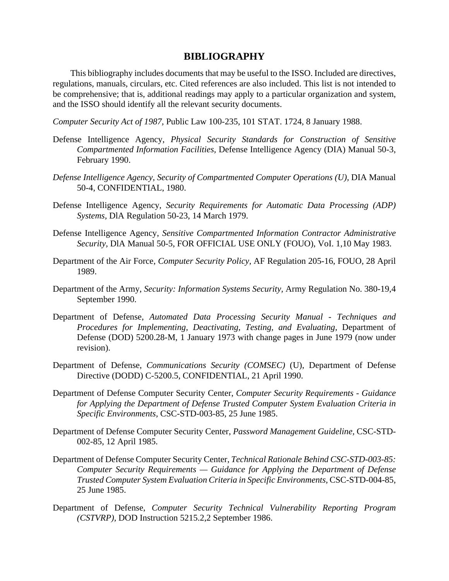# **BIBLIOGRAPHY**

This bibliography includes documents that may be useful to the ISSO. Included are directives, regulations, manuals, circulars, etc. Cited references are also included. This list is not intended to be comprehensive; that is, additional readings may apply to a particular organization and system, and the ISSO should identify all the relevant security documents.

*Computer Security Act of 1987,* Public Law 100-235, 101 STAT. 1724, 8 January 1988.

- Defense Intelligence Agency, *Physical Security Standards for Construction of Sensitive Compartmented Information Facilities,* Defense Intelligence Agency (DIA) Manual 50-3, February 1990.
- *Defense Intelligence Agency, Security of Compartmented Computer Operations (U),* DIA Manual 50-4, CONFIDENTIAL, 1980.
- Defense Intelligence Agency, *Security Requirements for Automatic Data Processing (ADP) Systems,* DlA Regulation 50-23, 14 March 1979.
- Defense Intelligence Agency, *Sensitive Compartmented Information Contractor Administrative Security,* DlA Manual 50-5, FOR OFFICIAL USE ONLY (FOUO), VoI. 1,10 May 1983.
- Department of the Air Force, *Computer Security Policy,* AF Regulation 205-16, FOUO, 28 April 1989.
- Department of the Army, *Security: Information Systems Security,* Army Regulation No. 380-19,4 September 1990.
- Department of Defense, *Automated Data Processing Security Manual Techniques and Procedures for Implementing, Deactivating, Testing, and Evaluating,* Department of Defense (DOD) 5200.28-M, 1 January 1973 with change pages in June 1979 (now under revision).
- Department of Defense, *Communications Security (COMSEC)* (U), Department of Defense Directive (DODD) C-5200.5, CONFIDENTIAL, 21 April 1990.
- Department of Defense Computer Security Center, *Computer Security Requirements Guidance for Applying the Department of Defense Trusted Computer System Evaluation Criteria in Specific Environments,* CSC-STD-003-85, 25 June 1985.
- Department of Defense Computer Security Center, *Password Management Guideline,* CSC-STD-002-85, 12 April 1985.
- Department of Defense Computer Security Center, *Technical Rationale Behind CSC-STD-003-85: Computer Security Requirements — Guidance for Applying the Department of Defense Trusted Computer System Evaluation Criteria in Specific Environments,* CSC-STD-004-85, 25 June 1985.
- Department of Defense, *Computer Security Technical Vulnerability Reporting Program (CSTVRP),* DOD Instruction 5215.2,2 September 1986.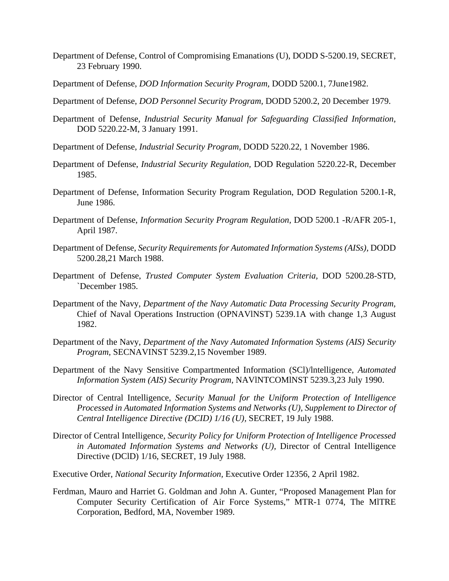- Department of Defense, Control of Compromising Emanations (U), DODD S-5200.19, SECRET, 23 February 1990.
- Department of Defense, *DOD Information Security Program,* DODD 5200.1, 7June1982.
- Department of Defense, *DOD Personnel Security Program,* DODD 5200.2, 20 December 1979.
- Department of Defense, *Industrial Security Manual for Safeguarding Classified Information,* DOD 5220.22-M, 3 January 1991.
- Department of Defense, *Industrial Security Program,* DODD 5220.22, 1 November 1986.
- Department of Defense, *Industrial Security Regulation,* DOD Regulation 5220.22-R, December 1985.
- Department of Defense, Information Security Program Regulation, DOD Regulation 5200.1-R, June 1986.
- Department of Defense, *Information Security Program Regulation,* DOD 5200.1 -R/AFR 205-1, April 1987.
- Department of Defense, *Security Requirements for Automated Information Systems (AISs),* DODD 5200.28,21 March 1988.
- Department of Defense, *Trusted Computer System Evaluation Criteria,* DOD 5200.28-STD, `December 1985.
- Department of the Navy, *Department of the Navy Automatic Data Processing Security Program,* Chief of Naval Operations Instruction (OPNAVlNST) 5239.1A with change 1,3 August 1982.
- Department of the Navy, *Department of the Navy Automated Information Systems (AIS) Security Program,* SECNAVINST 5239.2,15 November 1989.
- Department of the Navy Sensitive Compartmented Information (SCl)/lntelligence, *Automated Information System (AIS) Security Program,* NAVlNTCOMlNST 5239.3,23 July 1990.
- Director of Central Intelligence, *Security Manual for the Uniform Protection of Intelligence Processed in Automated Information Systems and Networks (U), Supplement to Director of Central Intelligence Directive (DCID) 1/16 (U),* SECRET, 19 July 1988.
- Director of Central Intelligence, *Security Policy for Uniform Protection of Intelligence Processed in Automated Information Systems and Networks (U),* Director of Central Intelligence Directive (DClD) 1/16, SECRET, 19 July 1988.
- Executive Order, *National Security Information,* Executive Order 12356, 2 April 1982.
- Ferdman, Mauro and Harriet G. Goldman and John A. Gunter, "Proposed Management Plan for Computer Security Certification of Air Force Systems," MTR-1 0774, The MlTRE Corporation, Bedford, MA, November 1989.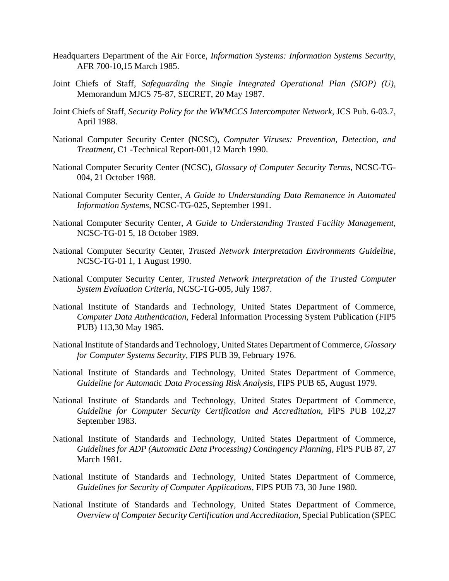- Headquarters Department of the Air Force, *Information Systems: Information Systems Security,* AFR 700-10,15 March 1985.
- Joint Chiefs of Staff, *Safeguarding the Single Integrated Operational Plan (SIOP) (U),* Memorandum MJCS 75-87, SECRET, 20 May 1987.
- Joint Chiefs of Staff, *Security Policy for the WWMCCS Intercomputer Network,* JCS Pub. 6-03.7, April 1988.
- National Computer Security Center (NCSC), *Computer Viruses: Prevention, Detection, and Treatment,* C1 -Technical Report-001,12 March 1990.
- National Computer Security Center (NCSC), *Glossary of Computer Security Terms,* NCSC-TG-004, 21 October 1988.
- National Computer Security Center, *A Guide to Understanding Data Remanence in Automated Information Systems,* NCSC-TG-025, September 1991.
- National Computer Security Center, *A Guide to Understanding Trusted Facility Management,* NCSC-TG-01 5, 18 October 1989.
- National Computer Security Center, *Trusted Network Interpretation Environments Guideline,* NCSC-TG-01 1, 1 August 1990.
- National Computer Security Center, *Trusted Network Interpretation of the Trusted Computer System Evaluation Criteria,* NCSC-TG-005, July 1987.
- National Institute of Standards and Technology, United States Department of Commerce, *Computer Data Authentication,* Federal Information Processing System Publication (FIP5 PUB) 113,30 May 1985.
- National Institute of Standards and Technology, United States Department of Commerce, *Glossary for Computer Systems Security,* FIPS PUB 39, February 1976.
- National Institute of Standards and Technology, United States Department of Commerce, *Guideline for Automatic Data Processing Risk Analysis,* FIPS PUB 65, August 1979.
- National Institute of Standards and Technology, United States Department of Commerce, *Guideline for Computer Security Certification and Accreditation,* FlPS PUB 102,27 September 1983.
- National Institute of Standards and Technology, United States Department of Commerce, *Guidelines for ADP (Automatic Data Processing) Contingency Planning,* FlPS PUB 87, 27 March 1981.
- National Institute of Standards and Technology, United States Department of Commerce, *Guidelines for Security of Computer Applications,* FlPS PUB 73, 30 June 1980.
- National Institute of Standards and Technology, United States Department of Commerce, *Overview of Computer Security Certification and Accreditation,* Special Publication (SPEC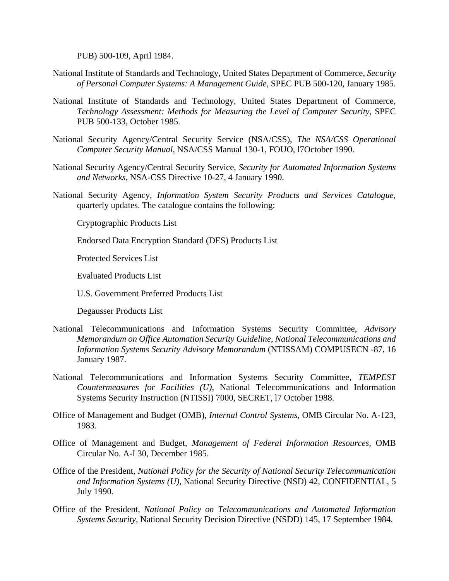PUB) 500-109, April 1984.

- National Institute of Standards and Technology, United States Department of Commerce, *Security of Personal Computer Systems: A Management Guide,* SPEC PUB 500-120, January 1985.
- National Institute of Standards and Technology, United States Department of Commerce, *Technology Assessment: Methods for Measuring the Level of Computer Security,* SPEC PUB 500-133, October 1985.
- National Security Agency/Central Security Service (NSA/CSS), *The NSA/CSS Operational Computer Security Manual,* NSA/CSS Manual 130-1, FOUO, l7October 1990.
- National Security Agency/Central Security Service, *Security for Automated Information Systems and Networks,* NSA-CSS Directive 10-27, 4 January 1990.
- National Security Agency, *Information System Security Products and Services Catalogue,* quarterly updates. The catalogue contains the following:

Cryptographic Products List

Endorsed Data Encryption Standard (DES) Products List

Protected Services List

Evaluated Products List

U.S. Government Preferred Products List

Degausser Products List

- National Telecommunications and Information Systems Security Committee, *Advisory Memorandum on Office Automation Security Guideline, National Telecommunications and Information Systems Security Advisory Memorandum* (NTISSAM) COMPUSECN -87, 16 January 1987.
- National Telecommunications and Information Systems Security Committee, *TEMPEST Countermeasures for Facilities (U),* National Telecommunications and Information Systems Security Instruction (NTISSI) 7000, SECRET, l7 October 1988.
- Office of Management and Budget (OMB), *Internal Control Systems,* OMB Circular No. A-123, 1983.
- Office of Management and Budget, *Management of Federal Information Resources,* OMB Circular No. A-I 30, December 1985.
- Office of the President, *National Policy for the Security of National Security Telecommunication and Information Systems (U),* National Security Directive (NSD) 42, CONFIDENTIAL, 5 July 1990.
- Office of the President, *National Policy on Telecommunications and Automated Information Systems Security,* National Security Decision Directive (NSDD) 145, 17 September 1984.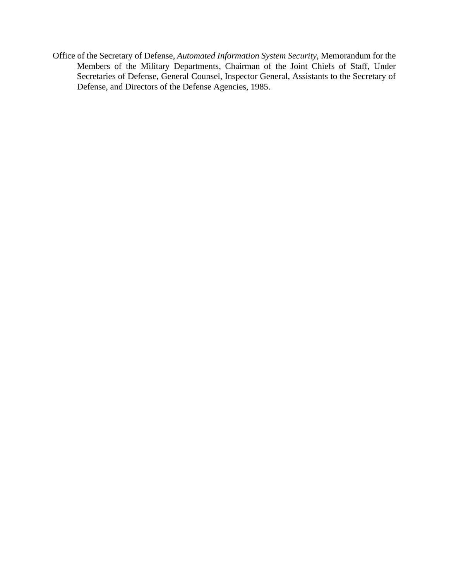Office of the Secretary of Defense, *Automated Information System Security,* Memorandum for the Members of the Military Departments, Chairman of the Joint Chiefs of Staff, Under Secretaries of Defense, General Counsel, Inspector General, Assistants to the Secretary of Defense, and Directors of the Defense Agencies, 1985.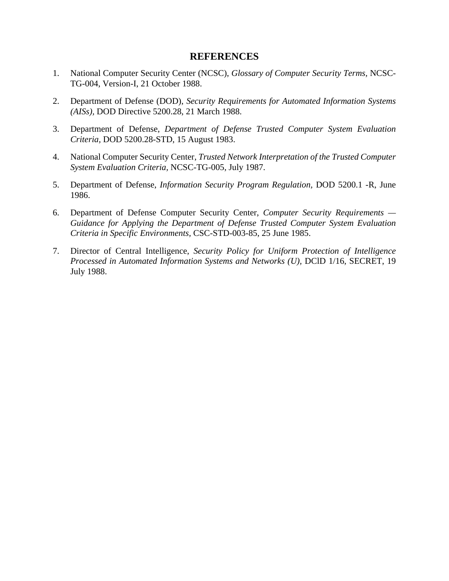### **REFERENCES**

- 1. National Computer Security Center (NCSC), *Glossary of Computer Security Terms,* NCSC-TG-004, Version-I, 21 October 1988.
- 2. Department of Defense (DOD), *Security Requirements for Automated Information Systems (AISs),* DOD Directive 5200.28, 21 March 1988.
- 3. Department of Defense, *Department of Defense Trusted Computer System Evaluation Criteria,* DOD 5200.28-STD, 15 August 1983.
- 4. National Computer Security Center, *Trusted Network Interpretation of the Trusted Computer System Evaluation Criteria,* NCSC-TG-005, July 1987.
- 5. Department of Defense, *Information Security Program Regulation,* DOD 5200.1 -R, June 1986.
- 6. Department of Defense Computer Security Center, *Computer Security Requirements — Guidance for Applying the Department of Defense Trusted Computer System Evaluation Criteria in Specific Environments,* CSC-STD-003-85, 25 June 1985.
- 7. Director of Central Intelligence, *Security Policy for Uniform Protection of Intelligence Processed in Automated Information Systems and Networks (U),* DClD 1/16, SECRET, 19 July 1988.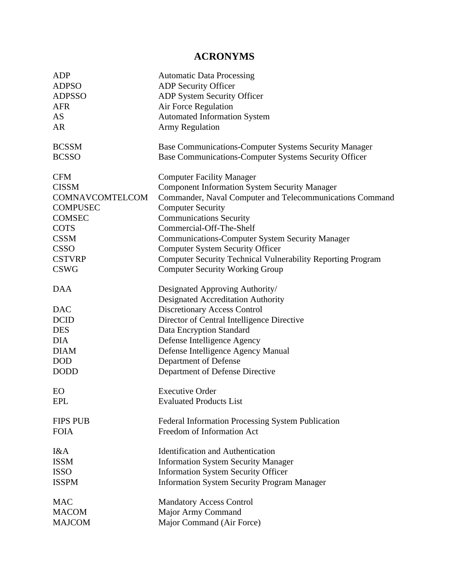# **ACRONYMS**

| <b>ADP</b>      | <b>Automatic Data Processing</b>                                      |
|-----------------|-----------------------------------------------------------------------|
| <b>ADPSO</b>    | <b>ADP Security Officer</b>                                           |
| <b>ADPSSO</b>   | ADP System Security Officer                                           |
| <b>AFR</b>      | Air Force Regulation                                                  |
| <b>AS</b>       | <b>Automated Information System</b>                                   |
| <b>AR</b>       | <b>Army Regulation</b>                                                |
| <b>BCSSM</b>    | Base Communications-Computer Systems Security Manager                 |
| <b>BCSSO</b>    | Base Communications-Computer Systems Security Officer                 |
| <b>CFM</b>      | <b>Computer Facility Manager</b>                                      |
| <b>CISSM</b>    | <b>Component Information System Security Manager</b>                  |
| COMNAVCOMTELCOM | Commander, Naval Computer and Telecommunications Command              |
| <b>COMPUSEC</b> | <b>Computer Security</b>                                              |
| <b>COMSEC</b>   | <b>Communications Security</b>                                        |
| <b>COTS</b>     | Commercial-Off-The-Shelf                                              |
| <b>CSSM</b>     | <b>Communications-Computer System Security Manager</b>                |
| <b>CSSO</b>     | <b>Computer System Security Officer</b>                               |
| <b>CSTVRP</b>   | <b>Computer Security Technical Vulnerability Reporting Program</b>    |
| <b>CSWG</b>     | <b>Computer Security Working Group</b>                                |
| <b>DAA</b>      | Designated Approving Authority/<br>Designated Accreditation Authority |
| <b>DAC</b>      | <b>Discretionary Access Control</b>                                   |
| <b>DCID</b>     | Director of Central Intelligence Directive                            |
| <b>DES</b>      | Data Encryption Standard                                              |
| <b>DIA</b>      | Defense Intelligence Agency                                           |
| <b>DIAM</b>     | Defense Intelligence Agency Manual                                    |
| <b>DOD</b>      | Department of Defense                                                 |
| <b>DODD</b>     | Department of Defense Directive                                       |
| EO              | <b>Executive Order</b>                                                |
| <b>EPL</b>      | <b>Evaluated Products List</b>                                        |
| <b>FIPS PUB</b> | <b>Federal Information Processing System Publication</b>              |
| <b>FOIA</b>     | Freedom of Information Act                                            |
| I&A             | <b>Identification and Authentication</b>                              |
| <b>ISSM</b>     | <b>Information System Security Manager</b>                            |
| <b>ISSO</b>     | <b>Information System Security Officer</b>                            |
| <b>ISSPM</b>    | <b>Information System Security Program Manager</b>                    |
| <b>MAC</b>      | <b>Mandatory Access Control</b>                                       |
| <b>MACOM</b>    | Major Army Command                                                    |
| <b>MAJCOM</b>   | Major Command (Air Force)                                             |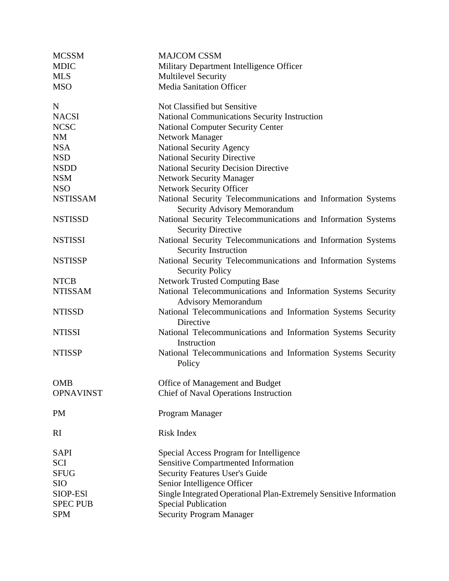| <b>MCSSM</b>     | <b>MAJCOM CSSM</b>                                                                           |  |  |  |
|------------------|----------------------------------------------------------------------------------------------|--|--|--|
| <b>MDIC</b>      | Military Department Intelligence Officer                                                     |  |  |  |
| <b>MLS</b>       | <b>Multilevel Security</b>                                                                   |  |  |  |
| <b>MSO</b>       | <b>Media Sanitation Officer</b>                                                              |  |  |  |
| $\mathbf N$      | Not Classified but Sensitive                                                                 |  |  |  |
| <b>NACSI</b>     | National Communications Security Instruction                                                 |  |  |  |
| <b>NCSC</b>      | <b>National Computer Security Center</b>                                                     |  |  |  |
| <b>NM</b>        | <b>Network Manager</b>                                                                       |  |  |  |
| <b>NSA</b>       | <b>National Security Agency</b>                                                              |  |  |  |
| <b>NSD</b>       | <b>National Security Directive</b>                                                           |  |  |  |
| <b>NSDD</b>      | <b>National Security Decision Directive</b>                                                  |  |  |  |
| <b>NSM</b>       | <b>Network Security Manager</b>                                                              |  |  |  |
| <b>NSO</b>       | <b>Network Security Officer</b>                                                              |  |  |  |
| <b>NSTISSAM</b>  | National Security Telecommunications and Information Systems<br>Security Advisory Memorandum |  |  |  |
| <b>NSTISSD</b>   | National Security Telecommunications and Information Systems<br><b>Security Directive</b>    |  |  |  |
| <b>NSTISSI</b>   | National Security Telecommunications and Information Systems<br><b>Security Instruction</b>  |  |  |  |
| <b>NSTISSP</b>   | National Security Telecommunications and Information Systems<br><b>Security Policy</b>       |  |  |  |
| <b>NTCB</b>      | <b>Network Trusted Computing Base</b>                                                        |  |  |  |
| <b>NTISSAM</b>   | National Telecommunications and Information Systems Security<br><b>Advisory Memorandum</b>   |  |  |  |
| <b>NTISSD</b>    | National Telecommunications and Information Systems Security<br>Directive                    |  |  |  |
| <b>NTISSI</b>    | National Telecommunications and Information Systems Security<br>Instruction                  |  |  |  |
| <b>NTISSP</b>    | National Telecommunications and Information Systems Security<br>Policy                       |  |  |  |
| <b>OMB</b>       | Office of Management and Budget                                                              |  |  |  |
| <b>OPNAVINST</b> | Chief of Naval Operations Instruction                                                        |  |  |  |
| <b>PM</b>        | Program Manager                                                                              |  |  |  |
| RI               | Risk Index                                                                                   |  |  |  |
| <b>SAPI</b>      | Special Access Program for Intelligence                                                      |  |  |  |
| <b>SCI</b>       | Sensitive Compartmented Information                                                          |  |  |  |
| <b>SFUG</b>      | <b>Security Features User's Guide</b>                                                        |  |  |  |
| <b>SIO</b>       | Senior Intelligence Officer                                                                  |  |  |  |
| SIOP-ES1         | Single Integrated Operational Plan-Extremely Sensitive Information                           |  |  |  |
| <b>SPEC PUB</b>  | <b>Special Publication</b>                                                                   |  |  |  |
| <b>SPM</b>       | <b>Security Program Manager</b>                                                              |  |  |  |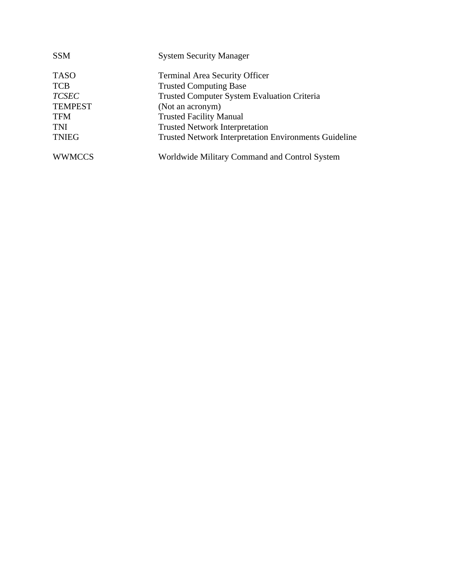| <b>SSM</b>     | <b>System Security Manager</b>                               |
|----------------|--------------------------------------------------------------|
| <b>TASO</b>    | <b>Terminal Area Security Officer</b>                        |
| <b>TCB</b>     | <b>Trusted Computing Base</b>                                |
| <b>TCSEC</b>   | Trusted Computer System Evaluation Criteria                  |
| <b>TEMPEST</b> | (Not an acronym)                                             |
| <b>TFM</b>     | <b>Trusted Facility Manual</b>                               |
| <b>TNI</b>     | <b>Trusted Network Interpretation</b>                        |
| <b>TNIEG</b>   | <b>Trusted Network Interpretation Environments Guideline</b> |
| <b>WWMCCS</b>  | Worldwide Military Command and Control System                |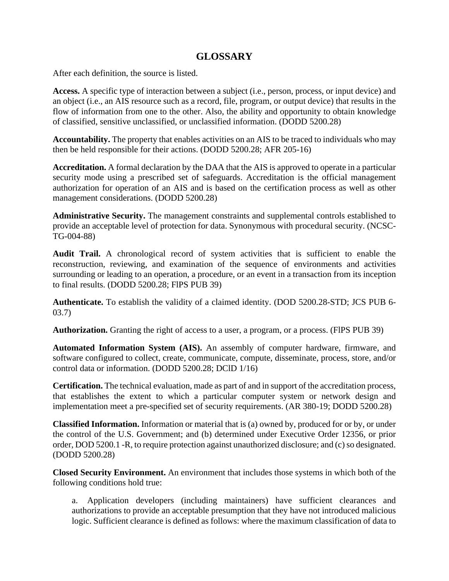# **GLOSSARY**

After each definition, the source is listed.

**Access.** A specific type of interaction between a subject (i.e., person, process, or input device) and an object (i.e., an AIS resource such as a record, file, program, or output device) that results in the flow of information from one to the other. Also, the ability and opportunity to obtain knowledge of classified, sensitive unclassified, or unclassified information. (DODD 5200.28)

**Accountability.** The property that enables activities on an AIS to be traced to individuals who may then be held responsible for their actions. (DODD 5200.28; AFR 205-16)

**Accreditation.** A formal declaration by the DAA that the AIS is approved to operate in a particular security mode using a prescribed set of safeguards. Accreditation is the official management authorization for operation of an AIS and is based on the certification process as well as other management considerations. (DODD 5200.28)

**Administrative Security.** The management constraints and supplemental controls established to provide an acceptable level of protection for data. Synonymous with procedural security. (NCSC-TG-004-88)

**Audit Trail.** A chronological record of system activities that is sufficient to enable the reconstruction, reviewing, and examination of the sequence of environments and activities surrounding or leading to an operation, a procedure, or an event in a transaction from its inception to final results. (DODD 5200.28; FlPS PUB 39)

**Authenticate.** To establish the validity of a claimed identity. (DOD 5200.28-STD; JCS PUB 6- 03.7)

**Authorization.** Granting the right of access to a user, a program, or a process. (FlPS PUB 39)

**Automated Information System (AIS).** An assembly of computer hardware, firmware, and software configured to collect, create, communicate, compute, disseminate, process, store, and/or control data or information. (DODD 5200.28; DClD 1/16)

**Certification.** The technical evaluation, made as part of and in support of the accreditation process, that establishes the extent to which a particular computer system or network design and implementation meet a pre-specified set of security requirements. (AR 380-19; DODD 5200.28)

**Classified Information.** Information or material that is (a) owned by, produced for or by, or under the control of the U.S. Government; and (b) determined under Executive Order 12356, or prior order, DOD 5200.1 -R, to require protection against unauthorized disclosure; and (c) so designated. (DODD 5200.28)

**Closed Security Environment.** An environment that includes those systems in which both of the following conditions hold true:

a. Application developers (including maintainers) have sufficient clearances and authorizations to provide an acceptable presumption that they have not introduced malicious logic. Sufficient clearance is defined as follows: where the maximum classification of data to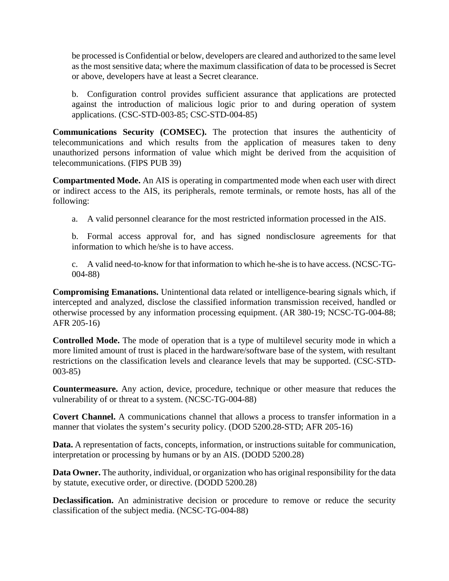be processed is Confidential or below, developers are cleared and authorized to the same level as the most sensitive data; where the maximum classification of data to be processed is Secret or above, developers have at least a Secret clearance.

b. Configuration control provides sufficient assurance that applications are protected against the introduction of malicious logic prior to and during operation of system applications. (CSC-STD-003-85; CSC-STD-004-85)

**Communications Security (COMSEC).** The protection that insures the authenticity of telecommunications and which results from the application of measures taken to deny unauthorized persons information of value which might be derived from the acquisition of telecommunications. (FlPS PUB 39)

**Compartmented Mode.** An AIS is operating in compartmented mode when each user with direct or indirect access to the AIS, its peripherals, remote terminals, or remote hosts, has all of the following:

a. A valid personnel clearance for the most restricted information processed in the AIS.

b. Formal access approval for, and has signed nondisclosure agreements for that information to which he/she is to have access.

c. A valid need-to-know for that information to which he-she is to have access. (NCSC-TG-004-88)

**Compromising Emanations.** Unintentional data related or intelligence-bearing signals which, if intercepted and analyzed, disclose the classified information transmission received, handled or otherwise processed by any information processing equipment. (AR 380-19; NCSC-TG-004-88; AFR 205-16)

**Controlled Mode.** The mode of operation that is a type of multilevel security mode in which a more limited amount of trust is placed in the hardware/software base of the system, with resultant restrictions on the classification levels and clearance levels that may be supported. (CSC-STD-003-85)

**Countermeasure.** Any action, device, procedure, technique or other measure that reduces the vulnerability of or threat to a system. (NCSC-TG-004-88)

**Covert Channel.** A communications channel that allows a process to transfer information in a manner that violates the system's security policy. (DOD 5200.28-STD; AFR 205-16)

**Data.** A representation of facts, concepts, information, or instructions suitable for communication, interpretation or processing by humans or by an AIS. (DODD 5200.28)

**Data Owner.** The authority, individual, or organization who has original responsibility for the data by statute, executive order, or directive. (DODD 5200.28)

**Declassification.** An administrative decision or procedure to remove or reduce the security classification of the subject media. (NCSC-TG-004-88)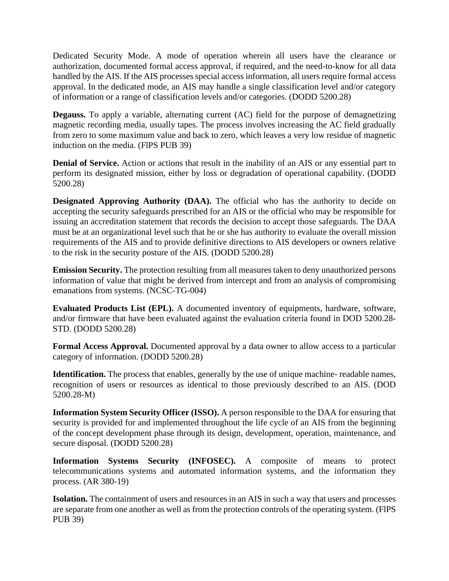Dedicated Security Mode. A mode of operation wherein all users have the clearance or authorization, documented formal access approval, if required, and the need-to-know for all data handled by the AIS. If the AIS processes special access information, all users require formal access approval. In the dedicated mode, an AIS may handle a single classification level and/or category of information or a range of classification levels and/or categories. (DODD 5200.28)

**Degauss.** To apply a variable, alternating current (AC) field for the purpose of demagnetizing magnetic recording media, usually tapes. The process involves increasing the AC field gradually from zero to some maximum value and back to zero, which leaves a very low residue of magnetic induction on the media. (FlPS PUB 39)

**Denial of Service.** Action or actions that result in the inability of an AIS or any essential part to perform its designated mission, either by loss or degradation of operational capability. (DODD 5200.28)

**Designated Approving Authority (DAA).** The official who has the authority to decide on accepting the security safeguards prescribed for an AIS or the official who may be responsible for issuing an accreditation statement that records the decision to accept those safeguards. The DAA must be at an organizational level such that he or she has authority to evaluate the overall mission requirements of the AIS and to provide definitive directions to AIS developers or owners relative to the risk in the security posture of the AIS. (DODD 5200.28)

**Emission Security.** The protection resulting from all measures taken to deny unauthorized persons information of value that might be derived from intercept and from an analysis of compromising emanations from systems. (NCSC-TG-004)

**Evaluated Products List (EPL).** A documented inventory of equipments, hardware, software, and/or firmware that have been evaluated against the evaluation criteria found in DOD 5200.28- STD. (DODD 5200.28)

**Formal Access Approval.** Documented approval by a data owner to allow access to a particular category of information. (DODD 5200.28)

**Identification.** The process that enables, generally by the use of unique machine- readable names, recognition of users or resources as identical to those previously described to an AIS. (DOD 5200.28-M)

**Information System Security Officer (ISSO).** A person responsible to the DAA for ensuring that security is provided for and implemented throughout the life cycle of an AIS from the beginning of the concept development phase through its design, development, operation, maintenance, and secure disposal. (DODD 5200.28)

**Information Systems Security (INFOSEC).** A composite of means to protect telecommunications systems and automated information systems, and the information they process. (AR 380-19)

**Isolation.** The containment of users and resources in an AIS in such a way that users and processes are separate from one another as well as from the protection controls of the operating system. (FlPS PUB 39)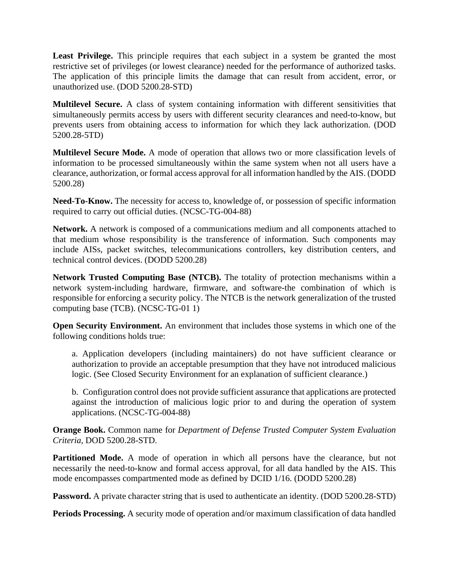**Least Privilege.** This principle requires that each subject in a system be granted the most restrictive set of privileges (or lowest clearance) needed for the performance of authorized tasks. The application of this principle limits the damage that can result from accident, error, or unauthorized use. (DOD 5200.28-STD)

**Multilevel Secure.** A class of system containing information with different sensitivities that simultaneously permits access by users with different security clearances and need-to-know, but prevents users from obtaining access to information for which they lack authorization. (DOD 5200.28-5TD)

**Multilevel Secure Mode.** A mode of operation that allows two or more classification levels of information to be processed simultaneously within the same system when not all users have a clearance, authorization, or formal access approval for all information handled by the AIS. (DODD 5200.28)

**Need-To-Know.** The necessity for access to, knowledge of, or possession of specific information required to carry out official duties. (NCSC-TG-004-88)

**Network.** A network is composed of a communications medium and all components attached to that medium whose responsibility is the transference of information. Such components may include AISs, packet switches, telecommunications controllers, key distribution centers, and technical control devices. (DODD 5200.28)

**Network Trusted Computing Base (NTCB).** The totality of protection mechanisms within a network system-including hardware, firmware, and software-the combination of which is responsible for enforcing a security policy. The NTCB is the network generalization of the trusted computing base (TCB). (NCSC-TG-01 1)

**Open Security Environment.** An environment that includes those systems in which one of the following conditions holds true:

a. Application developers (including maintainers) do not have sufficient clearance or authorization to provide an acceptable presumption that they have not introduced malicious logic. (See Closed Security Environment for an explanation of sufficient clearance.)

b. Configuration control does not provide sufficient assurance that applications are protected against the introduction of malicious logic prior to and during the operation of system applications. (NCSC-TG-004-88)

**Orange Book.** Common name for *Department of Defense Trusted Computer System Evaluation Criteria,* DOD 5200.28-STD.

Partitioned Mode. A mode of operation in which all persons have the clearance, but not necessarily the need-to-know and formal access approval, for all data handled by the AIS. This mode encompasses compartmented mode as defined by DCID 1/16. (DODD 5200.28)

**Password.** A private character string that is used to authenticate an identity. (DOD 5200.28-STD)

**Periods Processing.** A security mode of operation and/or maximum classification of data handled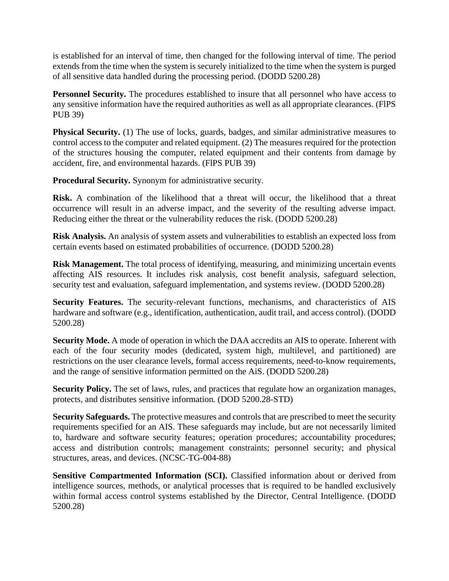is established for an interval of time, then changed for the following interval of time. The period extends from the time when the system is securely initialized to the time when the system is purged of all sensitive data handled during the processing period. (DODD 5200.28)

**Personnel Security.** The procedures established to insure that all personnel who have access to any sensitive information have the required authorities as well as all appropriate clearances. (FlPS PUB 39)

**Physical Security.** (1) The use of locks, guards, badges, and similar administrative measures to control access to the computer and related equipment. (2) The measures required for the protection of the structures housing the computer, related equipment and their contents from damage by accident, fire, and environmental hazards. (FlPS PUB 39)

**Procedural Security.** Synonym for administrative security.

**Risk.** A combination of the likelihood that a threat will occur, the likelihood that a threat occurrence will result in an adverse impact, and the severity of the resulting adverse impact. Reducing either the threat or the vulnerability reduces the risk. (DODD 5200.28)

**Risk Analysis.** An analysis of system assets and vulnerabilities to establish an expected loss from certain events based on estimated probabilities of occurrence. (DODD 5200.28)

**Risk Management.** The total process of identifying, measuring, and minimizing uncertain events affecting AIS resources. It includes risk analysis, cost benefit analysis, safeguard selection, security test and evaluation, safeguard implementation, and systems review. (DODD 5200.28)

**Security Features.** The security-relevant functions, mechanisms, and characteristics of AIS hardware and software (e.g., identification, authentication, audit trail, and access control). (DODD 5200.28)

**Security Mode.** A mode of operation in which the DAA accredits an AIS to operate. Inherent with each of the four security modes (dedicated, system high, multilevel, and partitioned) are restrictions on the user clearance levels, formal access requirements, need-to-know requirements, and the range of sensitive information permitted on the AiS. (DODD 5200.28)

**Security Policy.** The set of laws, rules, and practices that regulate how an organization manages, protects, and distributes sensitive information. (DOD 5200.28-STD)

**Security Safeguards.** The protective measures and controls that are prescribed to meet the security requirements specified for an AIS. These safeguards may include, but are not necessarily limited to, hardware and software security features; operation procedures; accountability procedures; access and distribution controls; management constraints; personnel security; and physical structures, areas, and devices. (NCSC-TG-004-88)

**Sensitive Compartmented Information (SCI).** Classified information about or derived from intelligence sources, methods, or analytical processes that is required to be handled exclusively within formal access control systems established by the Director, Central Intelligence. (DODD 5200.28)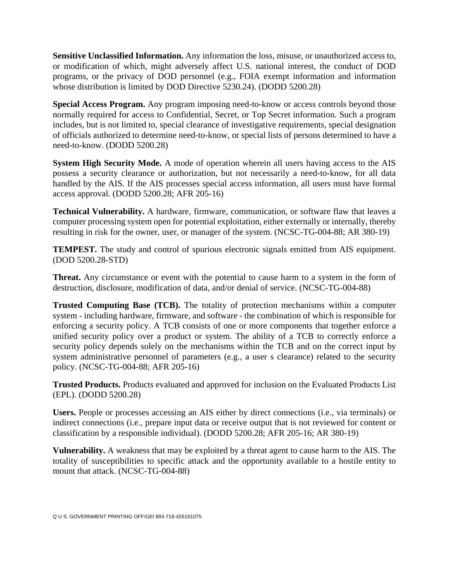**Sensitive Unclassified Information.** Any information the loss, misuse, or unauthorized access to, or modification of which, might adversely affect U.S. national interest, the conduct of DOD programs, or the privacy of DOD personnel (e.g., FOIA exempt information and information whose distribution is limited by DOD Directive 5230.24). (DODD 5200.28)

**Special Access Program.** Any program imposing need-to-know or access controls beyond those normally required for access to Confidential, Secret, or Top Secret information. Such a program includes, but is not limited to, special clearance of investigative requirements, special designation of officials authorized to determine need-to-know, or special lists of persons determined to have a need-to-know. (DODD 5200.28)

**System High Security Mode.** A mode of operation wherein all users having access to the AIS possess a security clearance or authorization, but not necessarily a need-to-know, for all data handled by the AIS. If the AIS processes special access information, all users must have formal access approval. (DODD 5200.28; AFR 205-16)

**Technical Vulnerability.** A hardware, firmware, communication, or software flaw that leaves a computer processing system open for potential exploitation, either externally or internally, thereby resulting in risk for the owner, user, or manager of the system. (NCSC-TG-004-88; AR 380-19)

**TEMPEST.** The study and control of spurious electronic signals emitted from AIS equipment. (DOD 5200.28-STD)

**Threat.** Any circumstance or event with the potential to cause harm to a system in the form of destruction, disclosure, modification of data, and/or denial of service. (NCSC-TG-004-88)

**Trusted Computing Base (TCB).** The totality of protection mechanisms within a computer system - including hardware, firmware, and software - the combination of which is responsible for enforcing a security policy. A TCB consists of one or more components that together enforce a unified security policy over a product or system. The ability of a TCB to correctly enforce a security policy depends solely on the mechanisms within the TCB and on the correct input by system administrative personnel of parameters (e.g., a user s clearance) related to the security policy. (NCSC-TG-004-88; AFR 205-16)

**Trusted Products.** Products evaluated and approved for inclusion on the Evaluated Products List (EPL). (DODD 5200.28)

**Users.** People or processes accessing an AIS either by direct connections (i.e., via terminals) or indirect connections (i.e., prepare input data or receive output that is not reviewed for content or classification by a responsible individual). (DODD 5200.28; AFR 205-16; AR 380-19)

**Vulnerability.** A weakness that may be exploited by a threat agent to cause harm to the AIS. The totality of susceptibilities to specific attack and the opportunity available to a hostile entity to mount that attack. (NCSC-TG-004-88)